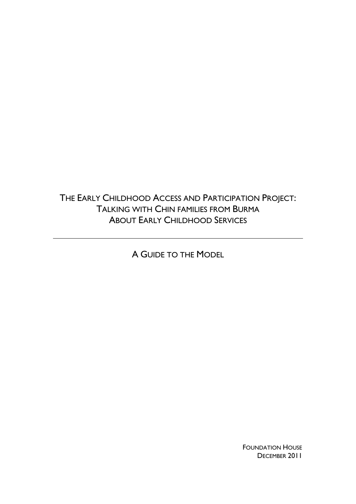THE EARLY CHILDHOOD ACCESS AND PARTICIPATION PROJECT: TALKING WITH CHIN FAMILIES FROM BURMA ABOUT EARLY CHILDHOOD SERVICES

A GUIDE TO THE MODEL

**FOUNDATION HOUSE** DECEMBER 2011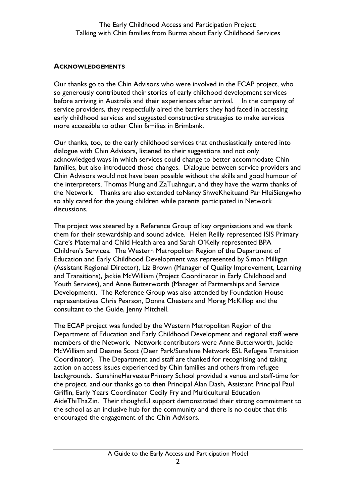## **ACKNOWLEDGEMENTS**

Our thanks go to the Chin Advisors who were involved in the ECAP project, who so generously contributed their stories of early childhood development services before arriving in Australia and their experiences after arrival. In the company of service providers, they respectfully aired the barriers they had faced in accessing early childhood services and suggested constructive strategies to make services more accessible to other Chin families in Brimbank.

Our thanks, too, to the early childhood services that enthusiastically entered into dialogue with Chin Advisors, listened to their suggestions and not only acknowledged ways in which services could change to better accommodate Chin families, but also introduced those changes. Dialogue between service providers and Chin Advisors would not have been possible without the skills and good humour of the interpreters, Thomas Mung and ZaTuahngur, and they have the warm thanks of the Network. Thanks are also extended toNancy ShweKheituand Par HleiSiengwho so ably cared for the young children while parents participated in Network discussions.

The project was steered by a Reference Group of key organisations and we thank them for their stewardship and sound advice. Helen Reilly represented ISIS Primary Care's Maternal and Child Health area and Sarah O'Kelly represented BPA Children's Services. The Western Metropolitan Region of the Department of Education and Early Childhood Development was represented by Simon Milligan (Assistant Regional Director), Liz Brown (Manager of Quality Improvement, Learning and Transitions), Jackie McWilliam (Project Coordinator in Early Childhood and Youth Services), and Anne Butterworth (Manager of Partnerships and Service Development). The Reference Group was also attended by Foundation House representatives Chris Pearson, Donna Chesters and Morag McKillop and the consultant to the Guide, Jenny Mitchell.

The ECAP project was funded by the Western Metropolitan Region of the Department of Education and Early Childhood Development and regional staff were members of the Network. Network contributors were Anne Butterworth, Jackie McWilliam and Deanne Scott (Deer Park/Sunshine Network ESL Refugee Transition Coordinator). The Department and staff are thanked for recognising and taking action on access issues experienced by Chin families and others from refugee backgrounds. SunshineHarvesterPrimary School provided a venue and staff-time for the project, and our thanks go to then Principal Alan Dash, Assistant Principal Paul Griffin, Early Years Coordinator Cecily Fry and Multicultural Education AideThiThaZin. Their thoughtful support demonstrated their strong commitment to the school as an inclusive hub for the community and there is no doubt that this encouraged the engagement of the Chin Advisors.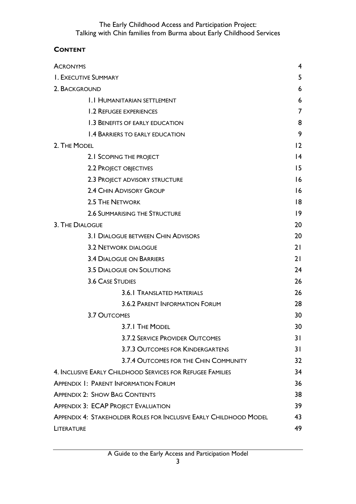# **CONTENT**

| <b>ACRONYMS</b>                                                          |                 |
|--------------------------------------------------------------------------|-----------------|
| <b>I. EXECUTIVE SUMMARY</b>                                              |                 |
| 2. BACKGROUND                                                            |                 |
| <b>I.I HUMANITARIAN SETTLEMENT</b>                                       | 6               |
| 1.2 REFUGEE EXPERIENCES                                                  | 7               |
| 1.3 BENEFITS OF EARLY EDUCATION                                          | 8               |
| <b>1.4 BARRIERS TO EARLY EDUCATION</b>                                   | 9               |
| 2. THE MODEL                                                             | 12              |
| 2.1 SCOPING THE PROJECT                                                  | $\overline{14}$ |
| 2.2 PROJECT OBJECTIVES                                                   | 15              |
| 2.3 PROJECT ADVISORY STRUCTURE                                           | 16              |
| 2.4 CHIN ADVISORY GROUP                                                  | 16              |
| 2.5 THE NETWORK                                                          | 8               |
| <b>2.6 SUMMARISING THE STRUCTURE</b>                                     | 9               |
| 3. THE DIALOGUE                                                          | 20              |
| <b>3.1 DIALOGUE BETWEEN CHIN ADVISORS</b>                                | 20              |
| <b>3.2 NETWORK DIALOGUE</b>                                              | 21              |
| <b>3.4 DIALOGUE ON BARRIERS</b>                                          | 21              |
| <b>3.5 DIALOGUE ON SOLUTIONS</b>                                         | 24              |
| <b>3.6 CASE STUDIES</b>                                                  | 26              |
| 3.6.1 TRANSLATED MATERIALS                                               | 26              |
| 3.6.2 PARENT INFORMATION FORUM                                           | 28              |
| 3.7 OUTCOMES                                                             | 30              |
| 3.7.1 THE MODEL                                                          | 30              |
| <b>3.7.2 SERVICE PROVIDER OUTCOMES</b>                                   | 31              |
| <b>3.7.3 OUTCOMES FOR KINDERGARTENS</b>                                  | 31              |
| 3.7.4 OUTCOMES FOR THE CHIN COMMUNITY                                    | 32 <sub>2</sub> |
| 4. INCLUSIVE EARLY CHILDHOOD SERVICES FOR REFUGEE FAMILIES               | 34              |
| <b>APPENDIX 1: PARENT INFORMATION FORUM</b>                              | 36              |
| <b>APPENDIX 2: SHOW BAG CONTENTS</b>                                     | 38              |
| <b>APPENDIX 3: ECAP PROJECT EVALUATION</b>                               |                 |
| <b>APPENDIX 4: STAKEHOLDER ROLES FOR INCLUSIVE EARLY CHILDHOOD MODEL</b> |                 |
| LITERATURE                                                               |                 |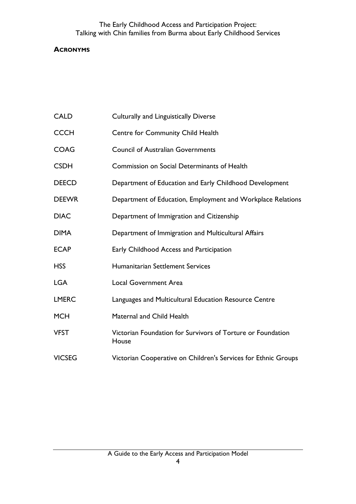## <span id="page-3-0"></span>**ACRONYMS**

- CALD Culturally and Linguistically Diverse
- CCCH Centre for Community Child Health
- COAG Council of Australian Governments
- CSDH Commission on Social Determinants of Health
- DEECD Department of Education and Early Childhood Development
- DEEWR Department of Education, Employment and Workplace Relations
- DIAC Department of Immigration and Citizenship
- DIMA Department of Immigration and Multicultural Affairs
- ECAP Early Childhood Access and Participation
- HSS Humanitarian Settlement Services
- LGA Local Government Area
- LMERC Languages and Multicultural Education Resource Centre
- MCH Maternal and Child Health
- VFST Victorian Foundation for Survivors of Torture or Foundation House
- VICSEG Victorian Cooperative on Children's Services for Ethnic Groups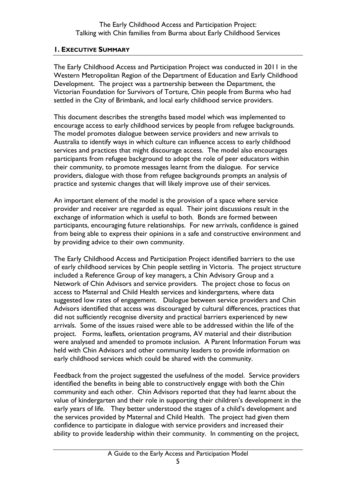### <span id="page-4-0"></span>**1. EXECUTIVE SUMMARY**

The Early Childhood Access and Participation Project was conducted in 2011 in the Western Metropolitan Region of the Department of Education and Early Childhood Development. The project was a partnership between the Department, the Victorian Foundation for Survivors of Torture, Chin people from Burma who had settled in the City of Brimbank, and local early childhood service providers.

This document describes the strengths based model which was implemented to encourage access to early childhood services by people from refugee backgrounds. The model promotes dialogue between service providers and new arrivals to Australia to identify ways in which culture can influence access to early childhood services and practices that might discourage access. The model also encourages participants from refugee background to adopt the role of peer educators within their community, to promote messages learnt from the dialogue. For service providers, dialogue with those from refugee backgrounds prompts an analysis of practice and systemic changes that will likely improve use of their services.

An important element of the model is the provision of a space where service provider and receiver are regarded as equal. Their joint discussions result in the exchange of information which is useful to both. Bonds are formed between participants, encouraging future relationships. For new arrivals, confidence is gained from being able to express their opinions in a safe and constructive environment and by providing advice to their own community.

The Early Childhood Access and Participation Project identified barriers to the use of early childhood services by Chin people settling in Victoria. The project structure included a Reference Group of key managers, a Chin Advisory Group and a Network of Chin Advisors and service providers. The project chose to focus on access to Maternal and Child Health services and kindergartens, where data suggested low rates of engagement. Dialogue between service providers and Chin Advisors identified that access was discouraged by cultural differences, practices that did not sufficiently recognise diversity and practical barriers experienced by new arrivals. Some of the issues raised were able to be addressed within the life of the project. Forms, leaflets, orientation programs, AV material and their distribution were analysed and amended to promote inclusion. A Parent Information Forum was held with Chin Advisors and other community leaders to provide information on early childhood services which could be shared with the community.

Feedback from the project suggested the usefulness of the model. Service providers identified the benefits in being able to constructively engage with both the Chin community and each other. Chin Advisors reported that they had learnt about the value of kindergarten and their role in supporting their children's development in the early years of life. They better understood the stages of a child's development and the services provided by Maternal and Child Health. The project had given them confidence to participate in dialogue with service providers and increased their ability to provide leadership within their community. In commenting on the project,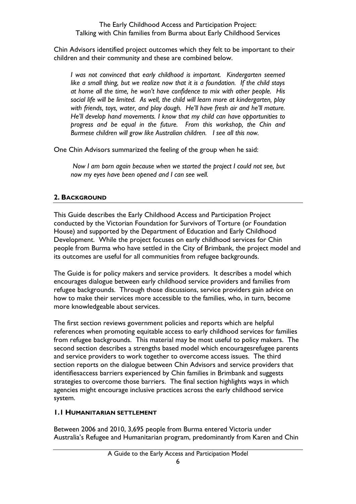Chin Advisors identified project outcomes which they felt to be important to their children and their community and these are combined below.

*I was not convinced that early childhood is important. Kindergarten seemed like a small thing, but we realize now that it is a foundation. If the child stays at home all the time, he won't have confidence to mix with other people. His social life will be limited. As well, the child will learn more at kindergarten, play with friends, toys, water, and play dough. He'll have fresh air and he'll mature. He'll develop hand movements. I know that my child can have opportunities to progress and be equal in the future. From this workshop, the Chin and Burmese children will grow like Australian children. I see all this now.*

One Chin Advisors summarized the feeling of the group when he said:

*Now I am born again because when we started the project I could not see, but now my eyes have been opened and I can see well.*

# <span id="page-5-0"></span>**2. BACKGROUND**

This Guide describes the Early Childhood Access and Participation Project conducted by the Victorian Foundation for Survivors of Torture (or Foundation House) and supported by the Department of Education and Early Childhood Development. While the project focuses on early childhood services for Chin people from Burma who have settled in the City of Brimbank, the project model and its outcomes are useful for all communities from refugee backgrounds.

The Guide is for policy makers and service providers. It describes a model which encourages dialogue between early childhood service providers and families from refugee backgrounds. Through those discussions, service providers gain advice on how to make their services more accessible to the families, who, in turn, become more knowledgeable about services.

The first section reviews government policies and reports which are helpful references when promoting equitable access to early childhood services for families from refugee backgrounds. This material may be most useful to policy makers. The second section describes a strengths based model which encouragesrefugee parents and service providers to work together to overcome access issues. The third section reports on the dialogue between Chin Advisors and service providers that identifiesaccess barriers experienced by Chin families in Brimbank and suggests strategies to overcome those barriers. The final section highlights ways in which agencies might encourage inclusive practices across the early childhood service system.

# <span id="page-5-1"></span>**1.1 HUMANITARIAN SETTLEMENT**

Between 2006 and 2010, 3,695 people from Burma entered Victoria under Australia's Refugee and Humanitarian program, predominantly from Karen and Chin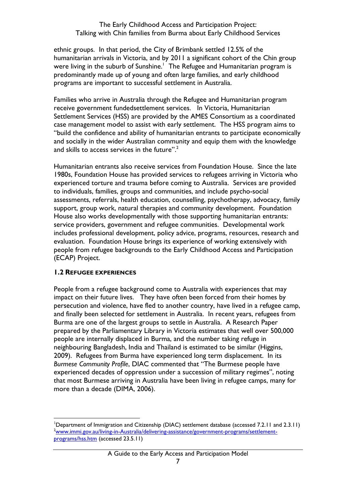ethnic groups. In that period, the City of Brimbank settled 12.5% of the humanitarian arrivals in Victoria, and by 2011 a significant cohort of the Chin group were living in the suburb of Sunshine.<sup>1</sup> The Refugee and Humanitarian program is predominantly made up of young and often large families, and early childhood programs are important to successful settlement in Australia.

Families who arrive in Australia through the Refugee and Humanitarian program receive government fundedsettlement services. In Victoria, Humanitarian Settlement Services (HSS) are provided by the AMES Consortium as a coordinated case management model to assist with early settlement. The HSS program aims to "build the confidence and ability of humanitarian entrants to participate economically and socially in the wider Australian community and equip them with the knowledge and skills to access services in the future".<sup>2</sup>

Humanitarian entrants also receive services from Foundation House. Since the late 1980s, Foundation House has provided services to refugees arriving in Victoria who experienced torture and trauma before coming to Australia. Services are provided to individuals, families, groups and communities, and include psycho-social assessments, referrals, health education, counselling, psychotherapy, advocacy, family support, group work, natural therapies and community development. Foundation House also works developmentally with those supporting humanitarian entrants: service providers, government and refugee communities. Developmental work includes professional development, policy advice, programs, resources, research and evaluation. Foundation House brings its experience of working extensively with people from refugee backgrounds to the Early Childhood Access and Participation (ECAP) Project.

#### <span id="page-6-0"></span>**1.2 REFUGEE EXPERIENCES**

People from a refugee background come to Australia with experiences that may impact on their future lives. They have often been forced from their homes by persecution and violence, have fled to another country, have lived in a refugee camp, and finally been selected for settlement in Australia. In recent years, refugees from Burma are one of the largest groups to settle in Australia. A Research Paper prepared by the Parliamentary Library in Victoria estimates that well over 500,000 people are internally displaced in Burma, and the number taking refuge in neighbouring Bangladesh, India and Thailand is estimated to be similar (Higgins, 2009). Refugees from Burma have experienced long term displacement. In its *Burmese Community Profile*, DIAC commented that "The Burmese people have experienced decades of oppression under a succession of military regimes", noting that most Burmese arriving in Australia have been living in refugee camps, many for more than a decade (DIMA, 2006).

<sup>1</sup> <sup>1</sup>Department of Immigration and Citizenship (DIAC) settlement database (accessed 7.2.11 and 2.3.11) <sup>2</sup>[www.immi.gov.au/living-in-Australia/delivering-assistance/government-programs/settlement](http://www.immi.gov.au/living-in-Australia/delivering-assistance/government-programs/settlement-programs/hss.htm)[programs/hss.htm](http://www.immi.gov.au/living-in-Australia/delivering-assistance/government-programs/settlement-programs/hss.htm) (accessed 23.5.11)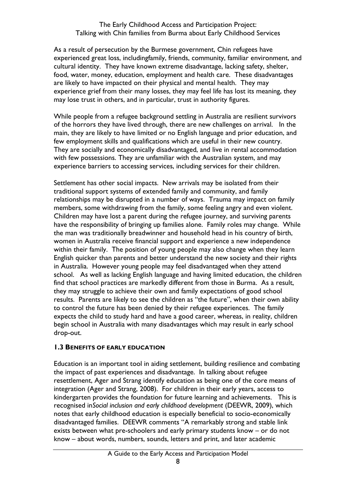As a result of persecution by the Burmese government, Chin refugees have experienced great loss, includingfamily, friends, community, familiar environment, and cultural identity. They have known extreme disadvantage, lacking safety, shelter, food, water, money, education, employment and health care. These disadvantages are likely to have impacted on their physical and mental health. They may experience grief from their many losses, they may feel life has lost its meaning, they may lose trust in others, and in particular, trust in authority figures.

While people from a refugee background settling in Australia are resilient survivors of the horrors they have lived through, there are new challenges on arrival. In the main, they are likely to have limited or no English language and prior education, and few employment skills and qualifications which are useful in their new country. They are socially and economically disadvantaged, and live in rental accommodation with few possessions. They are unfamiliar with the Australian system, and may experience barriers to accessing services, including services for their children.

Settlement has other social impacts. New arrivals may be isolated from their traditional support systems of extended family and community, and family relationships may be disrupted in a number of ways. Trauma may impact on family members, some withdrawing from the family, some feeling angry and even violent. Children may have lost a parent during the refugee journey, and surviving parents have the responsibility of bringing up families alone. Family roles may change. While the man was traditionally breadwinner and household head in his country of birth, women in Australia receive financial support and experience a new independence within their family. The position of young people may also change when they learn English quicker than parents and better understand the new society and their rights in Australia. However young people may feel disadvantaged when they attend school. As well as lacking English language and having limited education, the children find that school practices are markedly different from those in Burma. As a result, they may struggle to achieve their own and family expectations of good school results. Parents are likely to see the children as "the future", when their own ability to control the future has been denied by their refugee experiences. The family expects the child to study hard and have a good career, whereas, in reality, children begin school in Australia with many disadvantages which may result in early school drop-out.

#### <span id="page-7-0"></span>**1.3 BENEFITS OF EARLY EDUCATION**

Education is an important tool in aiding settlement, building resilience and combating the impact of past experiences and disadvantage. In talking about refugee resettlement, Ager and Strang identify education as being one of the core means of integration (Ager and Strang, 2008). For children in their early years, access to kindergarten provides the foundation for future learning and achievements. This is recognised in*Social inclusion and early childhood development* (DEEWR, 2009), which notes that early childhood education is especially beneficial to socio-economically disadvantaged families. DEEWR comments "A remarkably strong and stable link exists between what pre-schoolers and early primary students know – or do not know – about words, numbers, sounds, letters and print, and later academic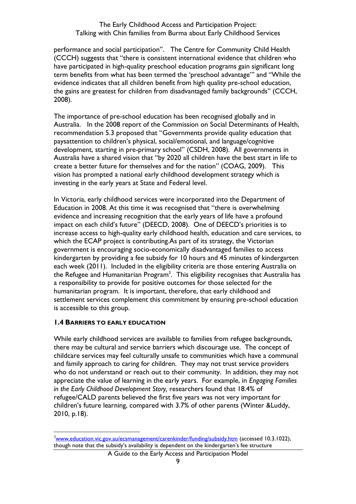performance and social participation". The Centre for Community Child Health (CCCH) suggests that "there is consistent international evidence that children who have participated in high-quality preschool education programs gain significant long term benefits from what has been termed the 'preschool advantage'" and "While the evidence indicates that all children benefit from high quality pre-school education, the gains are greatest for children from disadvantaged family backgrounds" (CCCH, 2008).

The importance of pre-school education has been recognised globally and in Australia. In the 2008 report of the Commission on Social Determinants of Health, recommendation 5.3 proposed that "Governments provide quality education that paysattention to children's physical, social/emotional, and language/cognitive development, starting in pre-primary school" (CSDH, 2008). All governments in Australia have a shared vision that "by 2020 all children have the best start in life to create a better future for themselves and for the nation" (COAG, 2009). This vision has prompted a national early childhood development strategy which is investing in the early years at State and Federal level.

In Victoria, early childhood services were incorporated into the Department of Education in 2008. At this time it was recognised that "there is overwhelming evidence and increasing recognition that the early years of life have a profound impact on each child's future" (DEECD, 2008). One of DEECD's priorities is to increase access to high-quality early childhood health, education and care services, to which the ECAP project is contributing.As part of its strategy, the Victorian government is encouraging socio-economically disadvantaged families to access kindergarten by providing a fee subsidy for 10 hours and 45 minutes of kindergarten each week (2011). Included in the eligibility criteria are those entering Australia on the Refugee and Humanitarian Program<sup>3</sup>. This eligibility recognises that Australia has a responsibility to provide for positive outcomes for those selected for the humanitarian program. It is important, therefore, that early childhood and settlement services complement this commitment by ensuring pre-school education is accessible to this group.

#### <span id="page-8-0"></span>**1.4 BARRIERS TO EARLY EDUCATION**

<u>.</u>

While early childhood services are available to families from refugee backgrounds, there may be cultural and service barriers which discourage use. The concept of childcare services may feel culturally unsafe to communities which have a communal and family approach to caring for children. They may not trust service providers who do not understand or reach out to their community. In addition, they may not appreciate the value of learning in the early years. For example, in *Engaging Families in the Early Childhood Development Story,* researchers found that 18.4% of refugee/CALD parents believed the first five years was not very important for children's future learning, compared with 3.7% of other parents (Winter &Luddy, 2010, p.18).

 $3$ [www.education.vic.gov.au/ecsmanagement/carenkinder/funding/subsidy.htm](http://www.education.vic.gov.au/ecsmanagement/carenkinder/funding/subsidy.htm) (accessed 10.3.1022), though note that the subsidy's availability is dependent on the kindergarten's fee structure

A Guide to the Early Access and Participation Model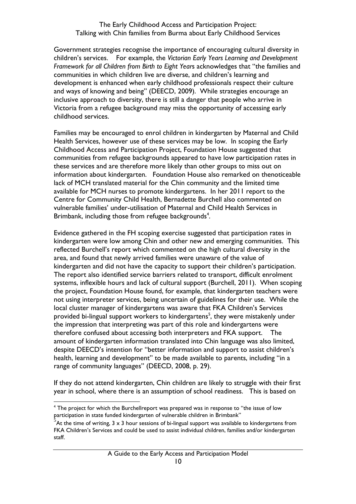Government strategies recognise the importance of encouraging cultural diversity in children's services. For example, the *Victorian Early Years Learning and Development Framework for all Children from Birth to Eight Year*s acknowledges that "the families and communities in which children live are diverse, and children's learning and development is enhanced when early childhood professionals respect their culture and ways of knowing and being" (DEECD, 2009). While strategies encourage an inclusive approach to diversity, there is still a danger that people who arrive in Victoria from a refugee background may miss the opportunity of accessing early childhood services.

Families may be encouraged to enrol children in kindergarten by Maternal and Child Health Services, however use of these services may be low. In scoping the Early Childhood Access and Participation Project, Foundation House suggested that communities from refugee backgrounds appeared to have low participation rates in these services and are therefore more likely than other groups to miss out on information about kindergarten. Foundation House also remarked on thenoticeable lack of MCH translated material for the Chin community and the limited time available for MCH nurses to promote kindergartens. In her 2011 report to the Centre for Community Child Health, Bernadette Burchell also commented on vulnerable families' under-utilisation of Maternal and Child Health Services in Brimbank, including those from refugee backgrounds<sup>4</sup>.

Evidence gathered in the FH scoping exercise suggested that participation rates in kindergarten were low among Chin and other new and emerging communities. This reflected Burchell's report which commented on the high cultural diversity in the area, and found that newly arrived families were unaware of the value of kindergarten and did not have the capacity to support their children's participation. The report also identified service barriers related to transport, difficult enrolment systems, inflexible hours and lack of cultural support (Burchell, 2011). When scoping the project, Foundation House found, for example, that kindergarten teachers were not using interpreter services, being uncertain of guidelines for their use. While the local cluster manager of kindergartens was aware that FKA Children's Services provided bi-lingual support workers to kindergartens<sup>5</sup>, they were mistakenly under the impression that interpreting was part of this role and kindergartens were therefore confused about accessing both interpreters and FKA support. The amount of kindergarten information translated into Chin language was also limited, despite DEECD's intention for "better information and support to assist children's health, learning and development" to be made available to parents, including "in a range of community languages" (DEECD, 2008, p. 29).

If they do not attend kindergarten, Chin children are likely to struggle with their first year in school, where there is an assumption of school readiness. This is based on

1

<sup>&</sup>lt;sup>4</sup> The project for which the Burchellreport was prepared was in response to "the issue of low participation in state funded kindergarten of vulnerable children in Brimbank"

 $5^{\text{h}}$ At the time of writing, 3 x 3 hour sessions of bi-lingual support was available to kindergartens from FKA Children's Services and could be used to assist individual children, families and/or kindergarten staff.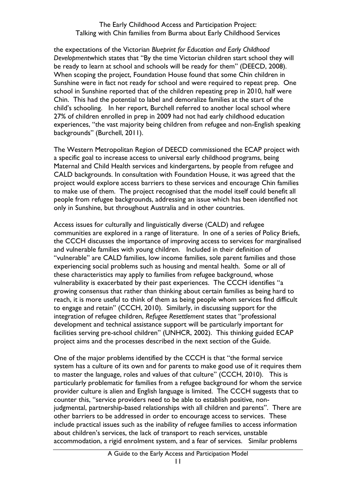the expectations of the Victorian *Blueprint for Education and Early Childhood Development*which states that "By the time Victorian children start school they will be ready to learn at school and schools will be ready for them" (DEECD, 2008). When scoping the project, Foundation House found that some Chin children in Sunshine were in fact not ready for school and were required to repeat prep. One school in Sunshine reported that of the children repeating prep in 2010, half were Chin. This had the potential to label and demoralize families at the start of the child's schooling. In her report, Burchell referred to another local school where 27% of children enrolled in prep in 2009 had not had early childhood education experiences, "the vast majority being children from refugee and non-English speaking backgrounds" (Burchell, 2011).

The Western Metropolitan Region of DEECD commissioned the ECAP project with a specific goal to increase access to universal early childhood programs, being Maternal and Child Health services and kindergartens, by people from refugee and CALD backgrounds. In consultation with Foundation House, it was agreed that the project would explore access barriers to these services and encourage Chin families to make use of them. The project recognised that the model itself could benefit all people from refugee backgrounds, addressing an issue which has been identified not only in Sunshine, but throughout Australia and in other countries.

Access issues for culturally and linguistically diverse (CALD) and refugee communities are explored in a range of literature. In one of a series of Policy Briefs, the CCCH discusses the importance of improving access to services for marginalised and vulnerable families with young children. Included in their definition of "vulnerable" are CALD families, low income families, sole parent families and those experiencing social problems such as housing and mental health. Some or all of these characteristics may apply to families from refugee background, whose vulnerability is exacerbated by their past experiences. The CCCH identifies "a growing consensus that rather than thinking about certain families as being hard to reach, it is more useful to think of them as being people whom services find difficult to engage and retain" (CCCH, 2010). Similarly, in discussing support for the integration of refugee children, *Refugee Resettlement* states that "professional development and technical assistance support will be particularly important for facilities serving pre-school children" (UNHCR, 2002). This thinking guided ECAP project aims and the processes described in the next section of the Guide.

One of the major problems identified by the CCCH is that "the formal service system has a culture of its own and for parents to make good use of it requires them to master the language, roles and values of that culture" (CCCH, 2010). This is particularly problematic for families from a refugee background for whom the service provider culture is alien and English language is limited. The CCCH suggests that to counter this, "service providers need to be able to establish positive, nonjudgmental, partnership-based relationships with all children and parents". There are other barriers to be addressed in order to encourage access to services. These include practical issues such as the inability of refugee families to access information about children's services, the lack of transport to reach services, unstable accommodation, a rigid enrolment system, and a fear of services. Similar problems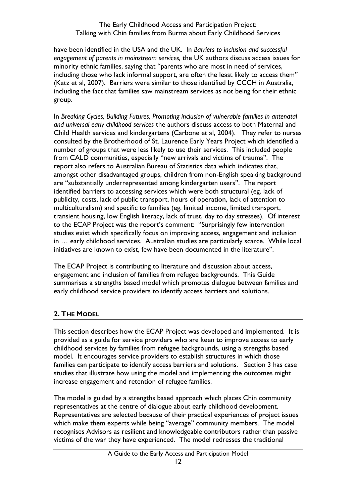have been identified in the USA and the UK. In *Barriers to inclusion and successful engagement of parents in mainstream services,* the UK authors discuss access issues for minority ethnic families, saying that "parents who are most in need of services, including those who lack informal support, are often the least likely to access them" (Katz et al, 2007). Barriers were similar to those identified by CCCH in Australia, including the fact that families saw mainstream services as not being for their ethnic group.

In *Breaking Cycles, Building Futures, Promoting inclusion of vulnerable families in antenatal and universal early childhood services* the authors discuss access to both Maternal and Child Health services and kindergartens (Carbone et al, 2004). They refer to nurses consulted by the Brotherhood of St. Laurence Early Years Project which identified a number of groups that were less likely to use their services. This included people from CALD communities, especially "new arrivals and victims of trauma". The report also refers to Australian Bureau of Statistics data which indicates that, amongst other disadvantaged groups, children from non-English speaking background are "substantially underrepresented among kindergarten users". The report identified barriers to accessing services which were both structural (eg. lack of publicity, costs, lack of public transport, hours of operation, lack of attention to multiculturalism) and specific to families (eg. limited income, limited transport, transient housing, low English literacy, lack of trust, day to day stresses). Of interest to the ECAP Project was the report's comment: "Surprisingly few intervention studies exist which specifically focus on improving access, engagement and inclusion in … early childhood services. Australian studies are particularly scarce. While local initiatives are known to exist, few have been documented in the literature".

The ECAP Project is contributing to literature and discussion about access, engagement and inclusion of families from refugee backgrounds. This Guide summarises a strengths based model which promotes dialogue between families and early childhood service providers to identify access barriers and solutions.

# <span id="page-11-0"></span>**2. THE MODEL**

This section describes how the ECAP Project was developed and implemented. It is provided as a guide for service providers who are keen to improve access to early childhood services by families from refugee backgrounds, using a strengths based model. It encourages service providers to establish structures in which those families can participate to identify access barriers and solutions. Section 3 has case studies that illustrate how using the model and implementing the outcomes might increase engagement and retention of refugee families.

The model is guided by a strengths based approach which places Chin community representatives at the centre of dialogue about early childhood development. Representatives are selected because of their practical experiences of project issues which make them experts while being "average" community members. The model recognises Advisors as resilient and knowledgeable contributors rather than passive victims of the war they have experienced. The model redresses the traditional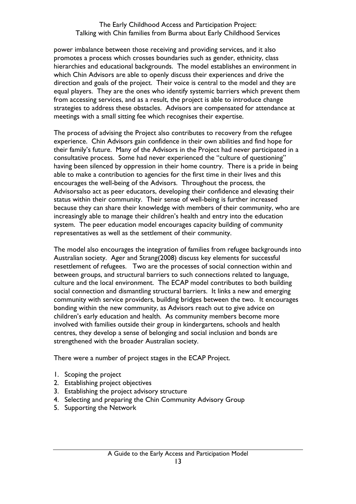power imbalance between those receiving and providing services, and it also promotes a process which crosses boundaries such as gender, ethnicity, class hierarchies and educational backgrounds. The model establishes an environment in which Chin Advisors are able to openly discuss their experiences and drive the direction and goals of the project. Their voice is central to the model and they are equal players. They are the ones who identify systemic barriers which prevent them from accessing services, and as a result, the project is able to introduce change strategies to address these obstacles. Advisors are compensated for attendance at meetings with a small sitting fee which recognises their expertise.

The process of advising the Project also contributes to recovery from the refugee experience. Chin Advisors gain confidence in their own abilities and find hope for their family's future. Many of the Advisors in the Project had never participated in a consultative process. Some had never experienced the "culture of questioning" having been silenced by oppression in their home country. There is a pride in being able to make a contribution to agencies for the first time in their lives and this encourages the well-being of the Advisors. Throughout the process, the Advisorsalso act as peer educators, developing their confidence and elevating their status within their community. Their sense of well-being is further increased because they can share their knowledge with members of their community, who are increasingly able to manage their children's health and entry into the education system. The peer education model encourages capacity building of community representatives as well as the settlement of their community.

The model also encourages the integration of families from refugee backgrounds into Australian society. Ager and Strang(2008) discuss key elements for successful resettlement of refugees. Two are the processes of social connection within and between groups, and structural barriers to such connections related to language, culture and the local environment. The ECAP model contributes to both building social connection and dismantling structural barriers. It links a new and emerging community with service providers, building bridges between the two. It encourages bonding within the new community, as Advisors reach out to give advice on children's early education and health. As community members become more involved with families outside their group in kindergartens, schools and health centres, they develop a sense of belonging and social inclusion and bonds are strengthened with the broader Australian society.

There were a number of project stages in the ECAP Project.

- 1. Scoping the project
- 2. Establishing project objectives
- 3. Establishing the project advisory structure
- 4. Selecting and preparing the Chin Community Advisory Group
- 5. Supporting the Network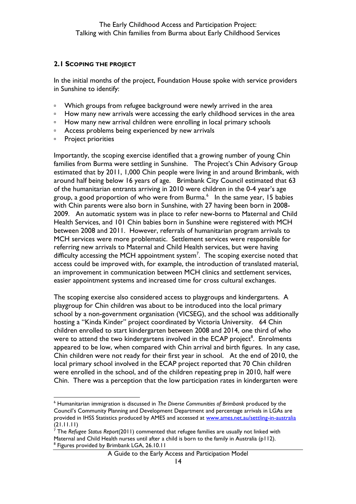#### <span id="page-13-0"></span>**2.1 SCOPING THE PROJECT**

In the initial months of the project, Foundation House spoke with service providers in Sunshine to identify:

- □ Which groups from refugee background were newly arrived in the area
- □ How many new arrivals were accessing the early childhood services in the area
- □ How many new arrival children were enrolling in local primary schools
- □ Access problems being experienced by new arrivals
- **Project priorities**

Importantly, the scoping exercise identified that a growing number of young Chin families from Burma were settling in Sunshine. The Project's Chin Advisory Group estimated that by 2011, 1,000 Chin people were living in and around Brimbank, with around half being below 16 years of age. Brimbank City Council estimated that 63 of the humanitarian entrants arriving in 2010 were children in the 0-4 year's age group, a good proportion of who were from Burma.<sup>6</sup> In the same year, 15 babies with Chin parents were also born in Sunshine, with 27 having been born in 2008- 2009. An automatic system was in place to refer new-borns to Maternal and Child Health Services, and 101 Chin babies born in Sunshine were registered with MCH between 2008 and 2011. However, referrals of humanitarian program arrivals to MCH services were more problematic. Settlement services were responsible for referring new arrivals to Maternal and Child Health services, but were having difficulty accessing the MCH appointment system<sup>7</sup>. The scoping exercise noted that access could be improved with, for example, the introduction of translated material, an improvement in communication between MCH clinics and settlement services, easier appointment systems and increased time for cross cultural exchanges.

The scoping exercise also considered access to playgroups and kindergartens. A playgroup for Chin children was about to be introduced into the local primary school by a non-government organisation (VICSEG), and the school was additionally hosting a "Kinda Kinder" project coordinated by Victoria University. 64 Chin children enrolled to start kindergarten between 2008 and 2014, one third of who were to attend the two kindergartens involved in the ECAP project<sup>8</sup>. Enrolments appeared to be low, when compared with Chin arrival and birth figures. In any case, Chin children were not ready for their first year in school. At the end of 2010, the local primary school involved in the ECAP project reported that 70 Chin children were enrolled in the school, and of the children repeating prep in 2010, half were Chin. There was a perception that the low participation rates in kindergarten were

<sup>1</sup> <sup>6</sup> Humanitarian immigration is discussed in *The Diverse Communities of Brimbank* produced by the Council's Community Planning and Development Department and percentage arrivals in LGAs are provided in IHSS Statistics produced by AMES and accessed at [www.ames.net.au/settling-in-australia](http://www.ames.net.au/settling-in-australia) (21.11.11)

<sup>7</sup> The *Refugee Status Report*(2011) commented that refugee families are usually not linked with Maternal and Child Health nurses until after a child is born to the family in Australia (p112). <sup>8</sup> Figures provided by Brimbank LGA, 26.10.11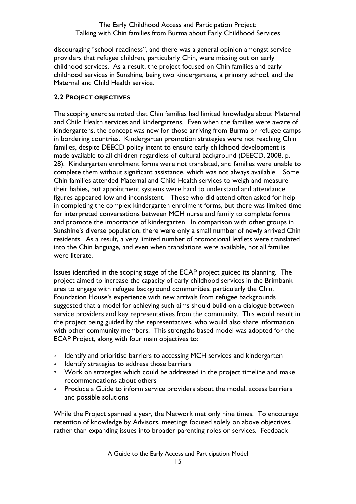discouraging "school readiness", and there was a general opinion amongst service providers that refugee children, particularly Chin, were missing out on early childhood services. As a result, the project focused on Chin families and early childhood services in Sunshine, being two kindergartens, a primary school, and the Maternal and Child Health service.

## <span id="page-14-0"></span>**2.2 PROJECT OBJECTIVES**

The scoping exercise noted that Chin families had limited knowledge about Maternal and Child Health services and kindergartens. Even when the families were aware of kindergartens, the concept was new for those arriving from Burma or refugee camps in bordering countries. Kindergarten promotion strategies were not reaching Chin families, despite DEECD policy intent to ensure early childhood development is made available to all children regardless of cultural background (DEECD, 2008, p. 28). Kindergarten enrolment forms were not translated, and families were unable to complete them without significant assistance, which was not always available. Some Chin families attended Maternal and Child Health services to weigh and measure their babies, but appointment systems were hard to understand and attendance figures appeared low and inconsistent. Those who did attend often asked for help in completing the complex kindergarten enrolment forms, but there was limited time for interpreted conversations between MCH nurse and family to complete forms and promote the importance of kindergarten. In comparison with other groups in Sunshine's diverse population, there were only a small number of newly arrived Chin residents. As a result, a very limited number of promotional leaflets were translated into the Chin language, and even when translations were available, not all families were literate.

Issues identified in the scoping stage of the ECAP project guided its planning. The project aimed to increase the capacity of early childhood services in the Brimbank area to engage with refugee background communities, particularly the Chin. Foundation House's experience with new arrivals from refugee backgrounds suggested that a model for achieving such aims should build on a dialogue between service providers and key representatives from the community. This would result in the project being guided by the representatives, who would also share information with other community members. This strengths based model was adopted for the ECAP Project, along with four main objectives to:

- <sup>o</sup> Identify and prioritise barriers to accessing MCH services and kindergarten
- □ Identify strategies to address those barriers
- Work on strategies which could be addressed in the project timeline and make recommendations about others
- **Produce a Guide to inform service providers about the model, access barriers** and possible solutions

While the Project spanned a year, the Network met only nine times. To encourage retention of knowledge by Advisors, meetings focused solely on above objectives, rather than expanding issues into broader parenting roles or services. Feedback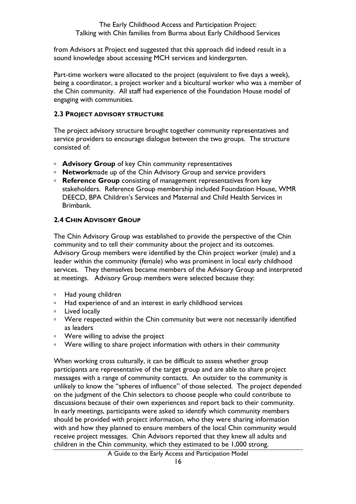from Advisors at Project end suggested that this approach did indeed result in a sound knowledge about accessing MCH services and kindergarten.

Part-time workers were allocated to the project (equivalent to five days a week), being a coordinator, a project worker and a bicultural worker who was a member of the Chin community. All staff had experience of the Foundation House model of engaging with communities.

#### <span id="page-15-0"></span>**2.3 PROJECT ADVISORY STRUCTURE**

The project advisory structure brought together community representatives and service providers to encourage dialogue between the two groups. The structure consisted of:

- **Advisory Group** of key Chin community representatives
- **Network**made up of the Chin Advisory Group and service providers
- **Reference Group** consisting of management representatives from key stakeholders. Reference Group membership included Foundation House, WMR DEECD, BPA Children's Services and Maternal and Child Health Services in Brimbank.

#### <span id="page-15-1"></span>**2.4 CHIN ADVISORY GROUP**

The Chin Advisory Group was established to provide the perspective of the Chin community and to tell their community about the project and its outcomes. Advisory Group members were identified by the Chin project worker (male) and a leader within the community (female) who was prominent in local early childhood services. They themselves became members of the Advisory Group and interpreted at meetings. Advisory Group members were selected because they:

- Had young children
- □ Had experience of and an interest in early childhood services
- **Example 1** Lived locally
- □ Were respected within the Chin community but were not necessarily identified as leaders
- Were willing to advise the project
- □ Were willing to share project information with others in their community

When working cross culturally, it can be difficult to assess whether group participants are representative of the target group and are able to share project messages with a range of community contacts. An outsider to the community is unlikely to know the "spheres of influence" of those selected. The project depended on the judgment of the Chin selectors to choose people who could contribute to discussions because of their own experiences and report back to their community. In early meetings, participants were asked to identify which community members should be provided with project information, who they were sharing information with and how they planned to ensure members of the local Chin community would receive project messages. Chin Advisors reported that they knew all adults and children in the Chin community, which they estimated to be 1,000 strong.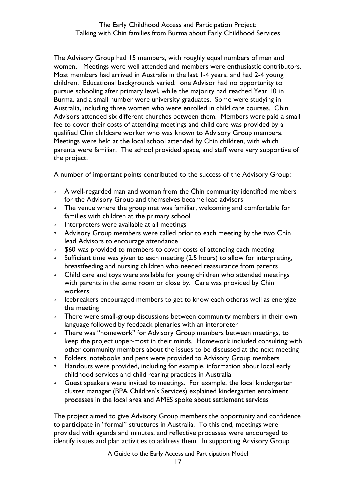The Advisory Group had 15 members, with roughly equal numbers of men and women. Meetings were well attended and members were enthusiastic contributors. Most members had arrived in Australia in the last 1-4 years, and had 2-4 young children. Educational backgrounds varied: one Advisor had no opportunity to pursue schooling after primary level, while the majority had reached Year 10 in Burma, and a small number were university graduates. Some were studying in Australia, including three women who were enrolled in child care courses. Chin Advisors attended six different churches between them. Members were paid a small fee to cover their costs of attending meetings and child care was provided by a qualified Chin childcare worker who was known to Advisory Group members. Meetings were held at the local school attended by Chin children, with which parents were familiar. The school provided space, and staff were very supportive of the project.

A number of important points contributed to the success of the Advisory Group:

- <sup>o</sup> A well-regarded man and woman from the Chin community identified members for the Advisory Group and themselves became lead advisers
- □ The venue where the group met was familiar, welcoming and comfortable for families with children at the primary school
- □ Interpreters were available at all meetings
- <sup>o</sup> Advisory Group members were called prior to each meeting by the two Chin lead Advisors to encourage attendance
- **560 was provided to members to cover costs of attending each meeting**
- □ Sufficient time was given to each meeting (2.5 hours) to allow for interpreting, breastfeeding and nursing children who needed reassurance from parents
- Child care and toys were available for young children who attended meetings with parents in the same room or close by. Care was provided by Chin workers.
- <sup>0</sup> Icebreakers encouraged members to get to know each otheras well as energize the meeting
- <sup>o</sup> There were small-group discussions between community members in their own language followed by feedback plenaries with an interpreter
- □ There was "homework" for Advisory Group members between meetings, to keep the project upper-most in their minds. Homework included consulting with other community members about the issues to be discussed at the next meeting
- □ Folders, notebooks and pens were provided to Advisory Group members
- Handouts were provided, including for example, information about local early childhood services and child rearing practices in Australia
- Guest speakers were invited to meetings. For example, the local kindergarten cluster manager (BPA Children's Services) explained kindergarten enrolment processes in the local area and AMES spoke about settlement services

The project aimed to give Advisory Group members the opportunity and confidence to participate in "formal" structures in Australia. To this end, meetings were provided with agenda and minutes, and reflective processes were encouraged to identify issues and plan activities to address them. In supporting Advisory Group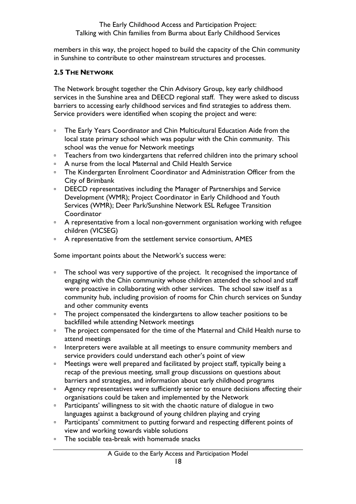members in this way, the project hoped to build the capacity of the Chin community in Sunshine to contribute to other mainstream structures and processes.

## <span id="page-17-0"></span>**2.5 THE NETWORK**

The Network brought together the Chin Advisory Group, key early childhood services in the Sunshine area and DEECD regional staff. They were asked to discuss barriers to accessing early childhood services and find strategies to address them. Service providers were identified when scoping the project and were:

- □ The Early Years Coordinator and Chin Multicultural Education Aide from the local state primary school which was popular with the Chin community. This school was the venue for Network meetings
- □ Teachers from two kindergartens that referred children into the primary school
- A nurse from the local Maternal and Child Health Service
- □ The Kindergarten Enrolment Coordinator and Administration Officer from the City of Brimbank
- □ DEECD representatives including the Manager of Partnerships and Service Development (WMR); Project Coordinator in Early Childhood and Youth Services (WMR); Deer Park/Sunshine Network ESL Refugee Transition **Coordinator**
- <sup>o</sup> A representative from a local non-government organisation working with refugee children (VICSEG)
- <sup>□</sup> A representative from the settlement service consortium, AMES

Some important points about the Network's success were:

- <sup>o</sup> The school was very supportive of the project. It recognised the importance of engaging with the Chin community whose children attended the school and staff were proactive in collaborating with other services. The school saw itself as a community hub, including provision of rooms for Chin church services on Sunday and other community events
- <sup>o</sup> The project compensated the kindergartens to allow teacher positions to be backfilled while attending Network meetings
- □ The project compensated for the time of the Maternal and Child Health nurse to attend meetings
- **Interpreters were available at all meetings to ensure community members and** service providers could understand each other's point of view
- □ Meetings were well prepared and facilitated by project staff, typically being a recap of the previous meeting, small group discussions on questions about barriers and strategies, and information about early childhood programs
- **Agency representatives were sufficiently senior to ensure decisions affecting their** organisations could be taken and implemented by the Network
- Participants' willingness to sit with the chaotic nature of dialogue in two languages against a background of young children playing and crying
- **Participants' commitment to putting forward and respecting different points of** view and working towards viable solutions
- □ The sociable tea-break with homemade snacks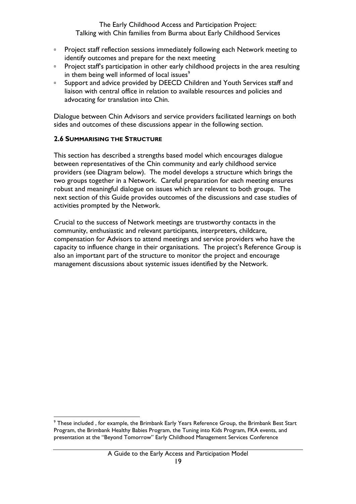- **Project staff reflection sessions immediately following each Network meeting to** identify outcomes and prepare for the next meeting
- **Project staff's participation in other early childhood projects in the area resulting** in them being well informed of local issues<sup>9</sup>
- □ Support and advice provided by DEECD Children and Youth Services staff and liaison with central office in relation to available resources and policies and advocating for translation into Chin.

Dialogue between Chin Advisors and service providers facilitated learnings on both sides and outcomes of these discussions appear in the following section.

#### <span id="page-18-0"></span>**2.6 SUMMARISING THE STRUCTURE**

This section has described a strengths based model which encourages dialogue between representatives of the Chin community and early childhood service providers (see Diagram below). The model develops a structure which brings the two groups together in a Network. Careful preparation for each meeting ensures robust and meaningful dialogue on issues which are relevant to both groups. The next section of this Guide provides outcomes of the discussions and case studies of activities prompted by the Network.

Crucial to the success of Network meetings are trustworthy contacts in the community, enthusiastic and relevant participants, interpreters, childcare, compensation for Advisors to attend meetings and service providers who have the capacity to influence change in their organisations. The project's Reference Group is also an important part of the structure to monitor the project and encourage management discussions about systemic issues identified by the Network.

<sup>1</sup> <sup>9</sup> These included , for example, the Brimbank Early Years Reference Group, the Brimbank Best Start Program, the Brimbank Healthy Babies Program, the Tuning into Kids Program, FKA events, and presentation at the "Beyond Tomorrow" Early Childhood Management Services Conference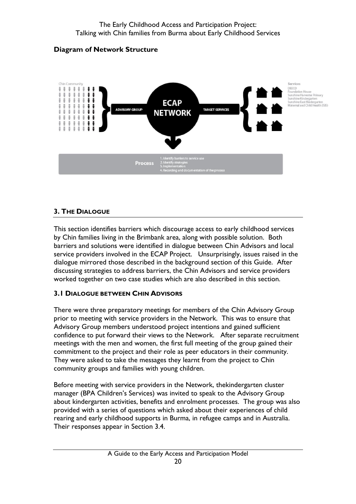# **Diagram of Network Structure**



# <span id="page-19-0"></span>**3. THE DIALOGUE**

This section identifies barriers which discourage access to early childhood services by Chin families living in the Brimbank area, along with possible solution. Both barriers and solutions were identified in dialogue between Chin Advisors and local service providers involved in the ECAP Project. Unsurprisingly, issues raised in the dialogue mirrored those described in the background section of this Guide. After discussing strategies to address barriers, the Chin Advisors and service providers worked together on two case studies which are also described in this section.

# <span id="page-19-1"></span>**3.1 DIALOGUE BETWEEN CHIN ADVISORS**

There were three preparatory meetings for members of the Chin Advisory Group prior to meeting with service providers in the Network. This was to ensure that Advisory Group members understood project intentions and gained sufficient confidence to put forward their views to the Network. After separate recruitment meetings with the men and women, the first full meeting of the group gained their commitment to the project and their role as peer educators in their community. They were asked to take the messages they learnt from the project to Chin community groups and families with young children.

Before meeting with service providers in the Network, thekindergarten cluster manager (BPA Children's Services) was invited to speak to the Advisory Group about kindergarten activities, benefits and enrolment processes. The group was also provided with a series of questions which asked about their experiences of child rearing and early childhood supports in Burma, in refugee camps and in Australia. Their responses appear in Section 3.4.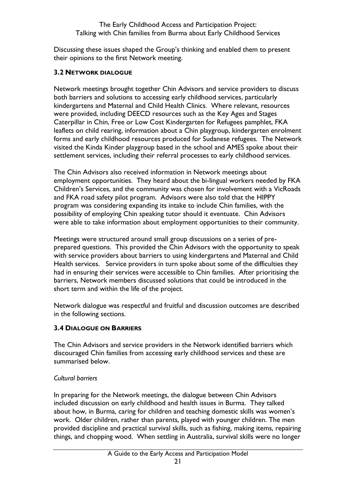Discussing these issues shaped the Group's thinking and enabled them to present their opinions to the first Network meeting.

## <span id="page-20-0"></span>**3.2 NETWORK DIALOGUE**

Network meetings brought together Chin Advisors and service providers to discuss both barriers and solutions to accessing early childhood services, particularly kindergartens and Maternal and Child Health Clinics. Where relevant, resources were provided, including DEECD resources such as the Key Ages and Stages Caterpillar in Chin, Free or Low Cost Kindergarten for Refugees pamphlet, FKA leaflets on child rearing, information about a Chin playgroup, kindergarten enrolment forms and early childhood resources produced for Sudanese refugees. The Network visited the Kinda Kinder playgroup based in the school and AMES spoke about their settlement services, including their referral processes to early childhood services.

The Chin Advisors also received information in Network meetings about employment opportunities. They heard about the bi-lingual workers needed by FKA Children's Services, and the community was chosen for involvement with a VicRoads and FKA road safety pilot program. Advisors were also told that the HIPPY program was considering expanding its intake to include Chin families, with the possibility of employing Chin speaking tutor should it eventuate. Chin Advisors were able to take information about employment opportunities to their community.

Meetings were structured around small group discussions on a series of preprepared questions. This provided the Chin Advisors with the opportunity to speak with service providers about barriers to using kindergartens and Maternal and Child Health services. Service providers in turn spoke about some of the difficulties they had in ensuring their services were accessible to Chin families. After prioritising the barriers, Network members discussed solutions that could be introduced in the short term and within the life of the project.

Network dialogue was respectful and fruitful and discussion outcomes are described in the following sections.

# <span id="page-20-1"></span>**3.4 DIALOGUE ON BARRIERS**

The Chin Advisors and service providers in the Network identified barriers which discouraged Chin families from accessing early childhood services and these are summarised below.

#### *Cultural barriers*

In preparing for the Network meetings, the dialogue between Chin Advisors included discussion on early childhood and health issues in Burma. They talked about how, in Burma, caring for children and teaching domestic skills was women's work. Older children, rather than parents, played with younger children. The men provided discipline and practical survival skills, such as fishing, making items, repairing things, and chopping wood. When settling in Australia, survival skills were no longer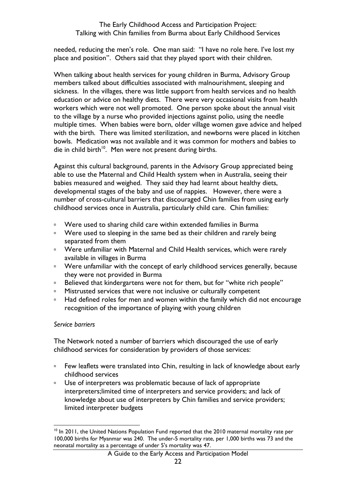needed, reducing the men's role. One man said: "I have no role here. I've lost my place and position". Others said that they played sport with their children.

When talking about health services for young children in Burma, Advisory Group members talked about difficulties associated with malnourishment, sleeping and sickness. In the villages, there was little support from health services and no health education or advice on healthy diets. There were very occasional visits from health workers which were not well promoted. One person spoke about the annual visit to the village by a nurse who provided injections against polio, using the needle multiple times. When babies were born, older village women gave advice and helped with the birth. There was limited sterilization, and newborns were placed in kitchen bowls. Medication was not available and it was common for mothers and babies to die in child birth<sup>10</sup>. Men were not present during births.

Against this cultural background, parents in the Advisory Group appreciated being able to use the Maternal and Child Health system when in Australia, seeing their babies measured and weighed. They said they had learnt about healthy diets, developmental stages of the baby and use of nappies. However, there were a number of cross-cultural barriers that discouraged Chin families from using early childhood services once in Australia, particularly child care. Chin families:

- **EXECT** Were used to sharing child care within extended families in Burma
- □ Were used to sleeping in the same bed as their children and rarely being separated from them
- □ Were unfamiliar with Maternal and Child Health services, which were rarely available in villages in Burma
- Were unfamiliar with the concept of early childhood services generally, because they were not provided in Burma
- □ Believed that kindergartens were not for them, but for "white rich people"
- **EXECUTE:** Mistrusted services that were not inclusive or culturally competent
- □ Had defined roles for men and women within the family which did not encourage recognition of the importance of playing with young children

#### *Service barriers*

The Network noted a number of barriers which discouraged the use of early childhood services for consideration by providers of those services:

- □ Few leaflets were translated into Chin, resulting in lack of knowledge about early childhood services
- Use of interpreters was problematic because of lack of appropriate interpreters;limited time of interpreters and service providers; and lack of knowledge about use of interpreters by Chin families and service providers; limited interpreter budgets

<sup>1</sup> <sup>10</sup> In 2011, the United Nations Population Fund reported that the 2010 maternal mortality rate per 100,000 births for Myanmar was 240. The under-5 mortality rate, per 1,000 births was 73 and the neonatal mortality as a percentage of under 5's mortality was 47.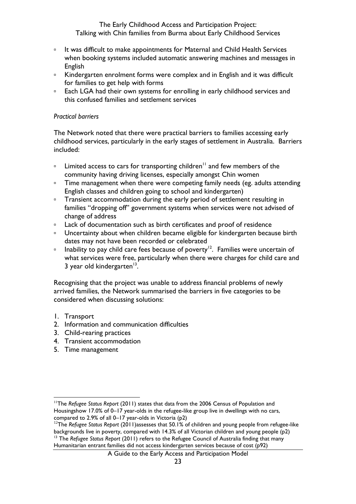- □ It was difficult to make appointments for Maternal and Child Health Services when booking systems included automatic answering machines and messages in English
- □ Kindergarten enrolment forms were complex and in English and it was difficult for families to get help with forms
- **Each LGA had their own systems for enrolling in early childhood services and** this confused families and settlement services

#### *Practical barriers*

The Network noted that there were practical barriers to families accessing early childhood services, particularly in the early stages of settlement in Australia. Barriers included:

- **Limited access to cars for transporting children<sup>11</sup> and few members of the** community having driving licenses, especially amongst Chin women
- Time management when there were competing family needs (eg. adults attending English classes and children going to school and kindergarten)
- □ Transient accommodation during the early period of settlement resulting in families "dropping off" government systems when services were not advised of change of address
- **Lack of documentation such as birth certificates and proof of residence**
- □ Uncertainty about when children became eligible for kindergarten because birth dates may not have been recorded or celebrated
- **Inability to pay child care fees because of poverty**<sup>12</sup>. Families were uncertain of what services were free, particularly when there were charges for child care and 3 year old kindergarten<sup>13</sup>.

Recognising that the project was unable to address financial problems of newly arrived families, the Network summarised the barriers in five categories to be considered when discussing solutions:

- 1. Transport
- 2. Information and communication difficulties
- 3. Child-rearing practices
- 4. Transient accommodation
- 5. Time management

<sup>1</sup> <sup>11</sup>The *Refugee Status Report* (2011) states that data from the 2006 Census of Population and Housingshow 17.0% of 0–17 year-olds in the refugee-like group live in dwellings with no cars, compared to 2.9% of all 0–17 year-olds in Victoria (p2)

<sup>12</sup>The *Refugee Status Report* (2011)assesses that 50.1% of children and young people from refugee-like backgrounds live in poverty, compared with 14.3% of all Victorian children and young people (p2) <sup>13</sup> The *Refugee Status Report* (2011) refers to the *Refugee Council of Australia finding that many* Humanitarian entrant families did not access kindergarten services because of cost (p92)

A Guide to the Early Access and Participation Model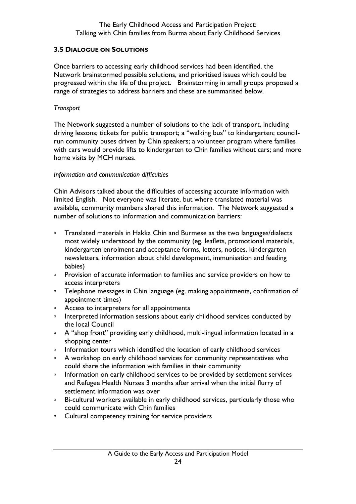## <span id="page-23-0"></span>**3.5 DIALOGUE ON SOLUTIONS**

Once barriers to accessing early childhood services had been identified, the Network brainstormed possible solutions, and prioritised issues which could be progressed within the life of the project. Brainstorming in small groups proposed a range of strategies to address barriers and these are summarised below.

#### *Transport*

The Network suggested a number of solutions to the lack of transport, including driving lessons; tickets for public transport; a "walking bus" to kindergarten; councilrun community buses driven by Chin speakers; a volunteer program where families with cars would provide lifts to kindergarten to Chin families without cars; and more home visits by MCH nurses.

#### *Information and communication difficulties*

Chin Advisors talked about the difficulties of accessing accurate information with limited English. Not everyone was literate, but where translated material was available, community members shared this information. The Network suggested a number of solutions to information and communication barriers:

- □ Translated materials in Hakka Chin and Burmese as the two languages/dialects most widely understood by the community (eg. leaflets, promotional materials, kindergarten enrolment and acceptance forms, letters, notices, kindergarten newsletters, information about child development, immunisation and feeding babies)
- **Provision of accurate information to families and service providers on how to** access interpreters
- □ Telephone messages in Chin language (eg. making appointments, confirmation of appointment times)
- <sup>o</sup> Access to interpreters for all appointments
- □ Interpreted information sessions about early childhood services conducted by the local Council
- □ A "shop front" providing early childhood, multi-lingual information located in a shopping center
- **Information tours which identified the location of early childhood services**
- <sup>o</sup> A workshop on early childhood services for community representatives who could share the information with families in their community
- **Information on early childhood services to be provided by settlement services** and Refugee Health Nurses 3 months after arrival when the initial flurry of settlement information was over
- □ Bi-cultural workers available in early childhood services, particularly those who could communicate with Chin families
- <sup>o</sup> Cultural competency training for service providers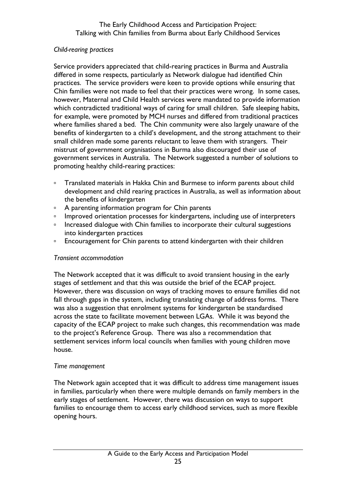# *Child-rearing practices*

Service providers appreciated that child-rearing practices in Burma and Australia differed in some respects, particularly as Network dialogue had identified Chin practices. The service providers were keen to provide options while ensuring that Chin families were not made to feel that their practices were wrong. In some cases, however, Maternal and Child Health services were mandated to provide information which contradicted traditional ways of caring for small children. Safe sleeping habits, for example, were promoted by MCH nurses and differed from traditional practices where families shared a bed. The Chin community were also largely unaware of the benefits of kindergarten to a child's development, and the strong attachment to their small children made some parents reluctant to leave them with strangers. Their mistrust of government organisations in Burma also discouraged their use of government services in Australia. The Network suggested a number of solutions to promoting healthy child-rearing practices:

- **Translated materials in Hakka Chin and Burmese to inform parents about child** development and child rearing practices in Australia, as well as information about the benefits of kindergarten
- <sup>o</sup> A parenting information program for Chin parents
- **Improved orientation processes for kindergartens, including use of interpreters**
- **Increased dialogue with Chin families to incorporate their cultural suggestions** into kindergarten practices
- **Encouragement for Chin parents to attend kindergarten with their children**

# *Transient accommodation*

The Network accepted that it was difficult to avoid transient housing in the early stages of settlement and that this was outside the brief of the ECAP project. However, there was discussion on ways of tracking moves to ensure families did not fall through gaps in the system, including translating change of address forms. There was also a suggestion that enrolment systems for kindergarten be standardised across the state to facilitate movement between LGAs. While it was beyond the capacity of the ECAP project to make such changes, this recommendation was made to the project's Reference Group. There was also a recommendation that settlement services inform local councils when families with young children move house.

# *Time management*

The Network again accepted that it was difficult to address time management issues in families, particularly when there were multiple demands on family members in the early stages of settlement. However, there was discussion on ways to support families to encourage them to access early childhood services, such as more flexible opening hours.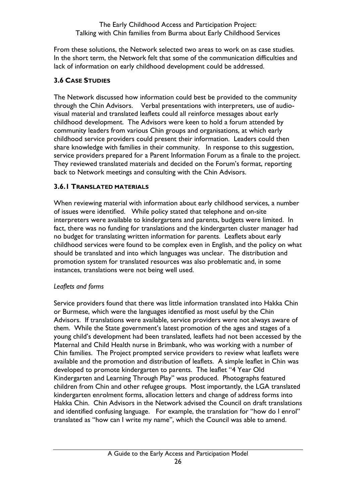From these solutions, the Network selected two areas to work on as case studies. In the short term, the Network felt that some of the communication difficulties and lack of information on early childhood development could be addressed.

# <span id="page-25-0"></span>**3.6 CASE STUDIES**

The Network discussed how information could best be provided to the community through the Chin Advisors. Verbal presentations with interpreters, use of audiovisual material and translated leaflets could all reinforce messages about early childhood development. The Advisors were keen to hold a forum attended by community leaders from various Chin groups and organisations, at which early childhood service providers could present their information. Leaders could then share knowledge with families in their community. In response to this suggestion, service providers prepared for a Parent Information Forum as a finale to the project. They reviewed translated materials and decided on the Forum's format, reporting back to Network meetings and consulting with the Chin Advisors.

# <span id="page-25-1"></span>**3.6.1 TRANSLATED MATERIALS**

When reviewing material with information about early childhood services, a number of issues were identified. While policy stated that telephone and on-site interpreters were available to kindergartens and parents, budgets were limited. In fact, there was no funding for translations and the kindergarten cluster manager had no budget for translating written information for parents. Leaflets about early childhood services were found to be complex even in English, and the policy on what should be translated and into which languages was unclear. The distribution and promotion system for translated resources was also problematic and, in some instances, translations were not being well used.

# *Leaflets and forms*

Service providers found that there was little information translated into Hakka Chin or Burmese, which were the languages identified as most useful by the Chin Advisors. If translations were available, service providers were not always aware of them. While the State government's latest promotion of the ages and stages of a young child's development had been translated, leaflets had not been accessed by the Maternal and Child Health nurse in Brimbank, who was working with a number of Chin families. The Project prompted service providers to review what leaflets were available and the promotion and distribution of leaflets. A simple leaflet in Chin was developed to promote kindergarten to parents. The leaflet "4 Year Old Kindergarten and Learning Through Play" was produced. Photographs featured children from Chin and other refugee groups. Most importantly, the LGA translated kindergarten enrolment forms, allocation letters and change of address forms into Hakka Chin. Chin Advisors in the Network advised the Council on draft translations and identified confusing language. For example, the translation for "how do I enrol" translated as "how can I write my name", which the Council was able to amend.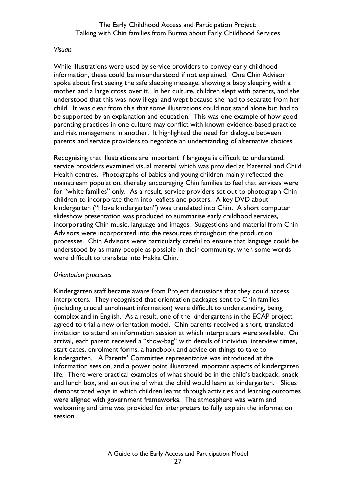#### *Visuals*

While illustrations were used by service providers to convey early childhood information, these could be misunderstood if not explained. One Chin Advisor spoke about first seeing the safe sleeping message, showing a baby sleeping with a mother and a large cross over it. In her culture, children slept with parents, and she understood that this was now illegal and wept because she had to separate from her child. It was clear from this that some illustrations could not stand alone but had to be supported by an explanation and education. This was one example of how good parenting practices in one culture may conflict with known evidence-based practice and risk management in another. It highlighted the need for dialogue between parents and service providers to negotiate an understanding of alternative choices.

Recognising that illustrations are important if language is difficult to understand, service providers examined visual material which was provided at Maternal and Child Health centres. Photographs of babies and young children mainly reflected the mainstream population, thereby encouraging Chin families to feel that services were for "white families" only. As a result, service providers set out to photograph Chin children to incorporate them into leaflets and posters. A key DVD about kindergarten ("I love kindergarten") was translated into Chin. A short computer slideshow presentation was produced to summarise early childhood services, incorporating Chin music, language and images. Suggestions and material from Chin Advisors were incorporated into the resources throughout the production processes. Chin Advisors were particularly careful to ensure that language could be understood by as many people as possible in their community, when some words were difficult to translate into Hakka Chin.

#### *Orientation processes*

Kindergarten staff became aware from Project discussions that they could access interpreters. They recognised that orientation packages sent to Chin families (including crucial enrolment information) were difficult to understanding, being complex and in English. As a result, one of the kindergartens in the ECAP project agreed to trial a new orientation model. Chin parents received a short, translated invitation to attend an information session at which interpreters were available. On arrival, each parent received a "show-bag" with details of individual interview times, start dates, enrolment forms, a handbook and advice on things to take to kindergarten. A Parents' Committee representative was introduced at the information session, and a power point illustrated important aspects of kindergarten life. There were practical examples of what should be in the child's backpack, snack and lunch box, and an outline of what the child would learn at kindergarten. Slides demonstrated ways in which children learnt through activities and learning outcomes were aligned with government frameworks. The atmosphere was warm and welcoming and time was provided for interpreters to fully explain the information session.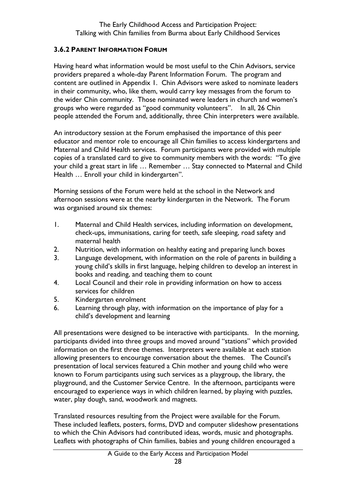# <span id="page-27-0"></span>**3.6.2 PARENT INFORMATION FORUM**

Having heard what information would be most useful to the Chin Advisors, service providers prepared a whole-day Parent Information Forum. The program and content are outlined in Appendix 1. Chin Advisors were asked to nominate leaders in their community, who, like them, would carry key messages from the forum to the wider Chin community. Those nominated were leaders in church and women's groups who were regarded as "good community volunteers". In all, 26 Chin people attended the Forum and, additionally, three Chin interpreters were available.

An introductory session at the Forum emphasised the importance of this peer educator and mentor role to encourage all Chin families to access kindergartens and Maternal and Child Health services. Forum participants were provided with multiple copies of a translated card to give to community members with the words: "To give your child a great start in life … Remember … Stay connected to Maternal and Child Health … Enroll your child in kindergarten".

Morning sessions of the Forum were held at the school in the Network and afternoon sessions were at the nearby kindergarten in the Network. The Forum was organised around six themes:

- 1. Maternal and Child Health services, including information on development, check-ups, immunisations, caring for teeth, safe sleeping, road safety and maternal health
- 2. Nutrition, with information on healthy eating and preparing lunch boxes
- 3. Language development, with information on the role of parents in building a young child's skills in first language, helping children to develop an interest in books and reading, and teaching them to count
- 4. Local Council and their role in providing information on how to access services for children
- 5. Kindergarten enrolment
- 6. Learning through play, with information on the importance of play for a child's development and learning

All presentations were designed to be interactive with participants. In the morning, participants divided into three groups and moved around "stations" which provided information on the first three themes. Interpreters were available at each station allowing presenters to encourage conversation about the themes. The Council's presentation of local services featured a Chin mother and young child who were known to Forum participants using such services as a playgroup, the library, the playground, and the Customer Service Centre. In the afternoon, participants were encouraged to experience ways in which children learned, by playing with puzzles, water, play dough, sand, woodwork and magnets.

Translated resources resulting from the Project were available for the Forum. These included leaflets, posters, forms, DVD and computer slideshow presentations to which the Chin Advisors had contributed ideas, words, music and photographs. Leaflets with photographs of Chin families, babies and young children encouraged a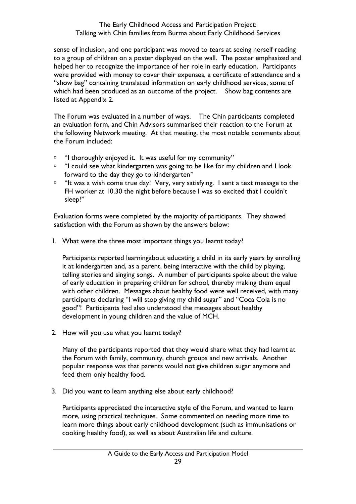sense of inclusion, and one participant was moved to tears at seeing herself reading to a group of children on a poster displayed on the wall. The poster emphasized and helped her to recognize the importance of her role in early education. Participants were provided with money to cover their expenses, a certificate of attendance and a "show bag" containing translated information on early childhood services, some of which had been produced as an outcome of the project. Show bag contents are listed at Appendix 2.

The Forum was evaluated in a number of ways. The Chin participants completed an evaluation form, and Chin Advisors summarised their reaction to the Forum at the following Network meeting. At that meeting, the most notable comments about the Forum included:

- <sup>n</sup> "I thoroughly enjoyed it. It was useful for my community"
- $\Box$  "I could see what kindergarten was going to be like for my children and I look forward to the day they go to kindergarten"
- "It was a wish come true day! Very, very satisfying. I sent a text message to the FH worker at 10.30 the night before because I was so excited that I couldn't sleep!"

Evaluation forms were completed by the majority of participants. They showed satisfaction with the Forum as shown by the answers below:

1. What were the three most important things you learnt today?

Participants reported learningabout educating a child in its early years by enrolling it at kindergarten and, as a parent, being interactive with the child by playing, telling stories and singing songs. A number of participants spoke about the value of early education in preparing children for school, thereby making them equal with other children. Messages about healthy food were well received, with many participants declaring "I will stop giving my child sugar" and "Coca Cola is no good"! Participants had also understood the messages about healthy development in young children and the value of MCH.

2. How will you use what you learnt today?

Many of the participants reported that they would share what they had learnt at the Forum with family, community, church groups and new arrivals. Another popular response was that parents would not give children sugar anymore and feed them only healthy food.

3. Did you want to learn anything else about early childhood?

Participants appreciated the interactive style of the Forum, and wanted to learn more, using practical techniques. Some commented on needing more time to learn more things about early childhood development (such as immunisations or cooking healthy food), as well as about Australian life and culture.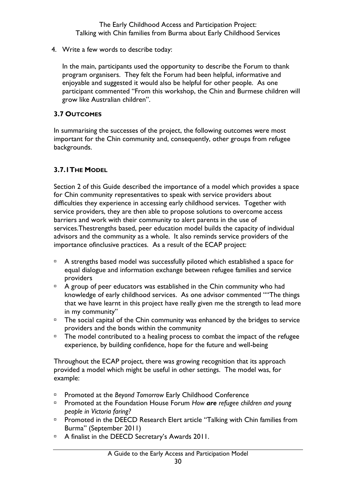4. Write a few words to describe today:

In the main, participants used the opportunity to describe the Forum to thank program organisers. They felt the Forum had been helpful, informative and enjoyable and suggested it would also be helpful for other people. As one participant commented "From this workshop, the Chin and Burmese children will grow like Australian children".

# <span id="page-29-0"></span>**3.7 OUTCOMES**

In summarising the successes of the project, the following outcomes were most important for the Chin community and, consequently, other groups from refugee backgrounds.

# <span id="page-29-1"></span>**3.7.1THE MODEL**

Section 2 of this Guide described the importance of a model which provides a space for Chin community representatives to speak with service providers about difficulties they experience in accessing early childhood services. Together with service providers, they are then able to propose solutions to overcome access barriers and work with their community to alert parents in the use of services.Thestrengths based, peer education model builds the capacity of individual advisors and the community as a whole. It also reminds service providers of the importance ofinclusive practices. As a result of the ECAP project:

- $\Box$  A strengths based model was successfully piloted which established a space for equal dialogue and information exchange between refugee families and service providers
- $\Box$  A group of peer educators was established in the Chin community who had knowledge of early childhood services. As one advisor commented ""The things that we have learnt in this project have really given me the strength to lead more in my community"
- $\Box$  The social capital of the Chin community was enhanced by the bridges to service providers and the bonds within the community
- <sup>n</sup> The model contributed to a healing process to combat the impact of the refugee experience, by building confidence, hope for the future and well-being

Throughout the ECAP project, there was growing recognition that its approach provided a model which might be useful in other settings. The model was, for example:

- Promoted at the *Beyond Tomorrow* Early Childhood Conference
- Promoted at the Foundation House Forum *How are refugee children and young people in Victoria faring?*
- **Promoted in the DEECD Research Elert article "Talking with Chin families from** Burma" (September 2011)
- <sup>D</sup> A finalist in the DEECD Secretary's Awards 2011.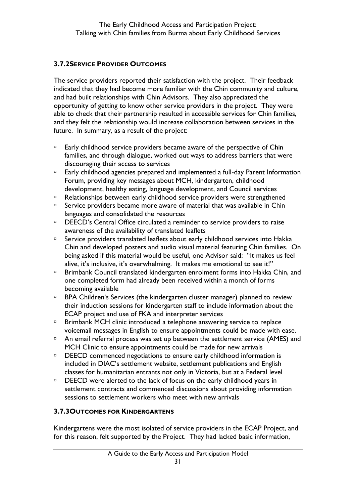## <span id="page-30-0"></span>**3.7.2SERVICE PROVIDER OUTCOMES**

The service providers reported their satisfaction with the project. Their feedback indicated that they had become more familiar with the Chin community and culture, and had built relationships with Chin Advisors. They also appreciated the opportunity of getting to know other service providers in the project. They were able to check that their partnership resulted in accessible services for Chin families, and they felt the relationship would increase collaboration between services in the future. In summary, as a result of the project:

- <sup>D</sup> Early childhood service providers became aware of the perspective of Chin families, and through dialogue, worked out ways to address barriers that were discouraging their access to services
- Early childhood agencies prepared and implemented a full-day Parent Information Forum, providing key messages about MCH, kindergarten, childhood development, healthy eating, language development, and Council services
- <sup>n</sup> Relationships between early childhood service providers were strengthened
- □ Service providers became more aware of material that was available in Chin languages and consolidated the resources
- □ DEECD's Central Office circulated a reminder to service providers to raise awareness of the availability of translated leaflets
- $\Box$  Service providers translated leaflets about early childhood services into Hakka Chin and developed posters and audio visual material featuring Chin families. On being asked if this material would be useful, one Advisor said: "It makes us feel alive, it's inclusive, it's overwhelming. It makes me emotional to see it!"
- □ Brimbank Council translated kindergarten enrolment forms into Hakka Chin, and one completed form had already been received within a month of forms becoming available
- □ BPA Children's Services (the kindergarten cluster manager) planned to review their induction sessions for kindergarten staff to include information about the ECAP project and use of FKA and interpreter services
- □ Brimbank MCH clinic introduced a telephone answering service to replace voicemail messages in English to ensure appointments could be made with ease.
- <sup>n</sup> An email referral process was set up between the settlement service (AMES) and MCH Clinic to ensure appointments could be made for new arrivals
- □ DEECD commenced negotiations to ensure early childhood information is included in DIAC's settlement website, settlement publications and English classes for humanitarian entrants not only in Victoria, but at a Federal level
- DEECD were alerted to the lack of focus on the early childhood years in settlement contracts and commenced discussions about providing information sessions to settlement workers who meet with new arrivals

# <span id="page-30-1"></span>**3.7.3OUTCOMES FOR KINDERGARTENS**

Kindergartens were the most isolated of service providers in the ECAP Project, and for this reason, felt supported by the Project. They had lacked basic information,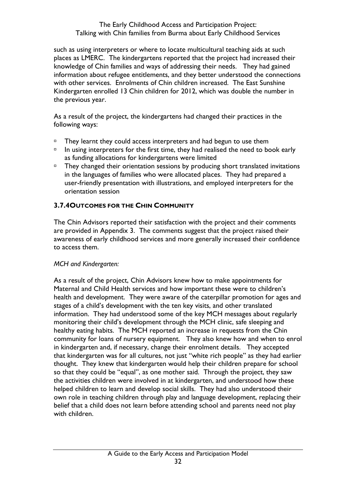such as using interpreters or where to locate multicultural teaching aids at such places as LMERC. The kindergartens reported that the project had increased their knowledge of Chin families and ways of addressing their needs. They had gained information about refugee entitlements, and they better understood the connections with other services. Enrolments of Chin children increased. The East Sunshine Kindergarten enrolled 13 Chin children for 2012, which was double the number in the previous year.

As a result of the project, the kindergartens had changed their practices in the following ways:

- $\Box$  They learnt they could access interpreters and had begun to use them
- $\Box$  In using interpreters for the first time, they had realised the need to book early as funding allocations for kindergartens were limited
- $\Box$  They changed their orientation sessions by producing short translated invitations in the languages of families who were allocated places. They had prepared a user-friendly presentation with illustrations, and employed interpreters for the orientation session

# <span id="page-31-0"></span>**3.7.4OUTCOMES FOR THE CHIN COMMUNITY**

The Chin Advisors reported their satisfaction with the project and their comments are provided in Appendix 3. The comments suggest that the project raised their awareness of early childhood services and more generally increased their confidence to access them.

# *MCH and Kindergarten:*

As a result of the project, Chin Advisors knew how to make appointments for Maternal and Child Health services and how important these were to children's health and development. They were aware of the caterpillar promotion for ages and stages of a child's development with the ten key visits, and other translated information. They had understood some of the key MCH messages about regularly monitoring their child's development through the MCH clinic, safe sleeping and healthy eating habits. The MCH reported an increase in requests from the Chin community for loans of nursery equipment. They also knew how and when to enrol in kindergarten and, if necessary, change their enrolment details. They accepted that kindergarten was for all cultures, not just "white rich people" as they had earlier thought. They knew that kindergarten would help their children prepare for school so that they could be "equal", as one mother said. Through the project, they saw the activities children were involved in at kindergarten, and understood how these helped children to learn and develop social skills. They had also understood their own role in teaching children through play and language development, replacing their belief that a child does not learn before attending school and parents need not play with children.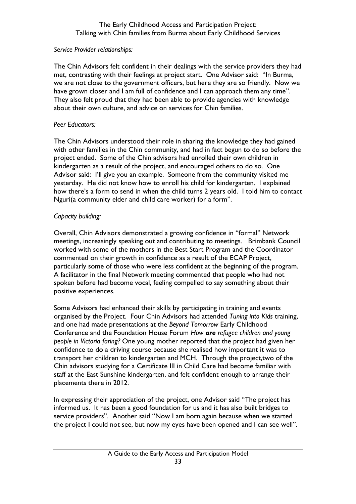#### *Service Provider relationships:*

The Chin Advisors felt confident in their dealings with the service providers they had met, contrasting with their feelings at project start. One Advisor said: "In Burma, we are not close to the government officers, but here they are so friendly. Now we have grown closer and I am full of confidence and I can approach them any time". They also felt proud that they had been able to provide agencies with knowledge about their own culture, and advice on services for Chin families.

## *Peer Educators:*

The Chin Advisors understood their role in sharing the knowledge they had gained with other families in the Chin community, and had in fact begun to do so before the project ended. Some of the Chin advisors had enrolled their own children in kindergarten as a result of the project, and encouraged others to do so. One Advisor said: I'll give you an example. Someone from the community visited me yesterday. He did not know how to enroll his child for kindergarten. I explained how there's a form to send in when the child turns 2 years old. I told him to contact Nguri(a community elder and child care worker) for a form".

## *Capacity building:*

Overall, Chin Advisors demonstrated a growing confidence in "formal" Network meetings, increasingly speaking out and contributing to meetings. Brimbank Council worked with some of the mothers in the Best Start Program and the Coordinator commented on their growth in confidence as a result of the ECAP Project, particularly some of those who were less confident at the beginning of the program. A facilitator in the final Network meeting commented that people who had not spoken before had become vocal, feeling compelled to say something about their positive experiences.

Some Advisors had enhanced their skills by participating in training and events organised by the Project. Four Chin Advisors had attended *Tuning into Kids* training, and one had made presentations at the *Beyond Tomorrow* Early Childhood Conference and the Foundation House Forum *How are refugee children and young people in Victoria faring?* One young mother reported that the project had given her confidence to do a driving course because she realised how important it was to transport her children to kindergarten and MCH. Through the project,two of the Chin advisors studying for a Certificate III in Child Care had become familiar with staff at the East Sunshine kindergarten, and felt confident enough to arrange their placements there in 2012.

In expressing their appreciation of the project, one Advisor said "The project has informed us. It has been a good foundation for us and it has also built bridges to service providers". Another said "Now I am born again because when we started the project I could not see, but now my eyes have been opened and I can see well".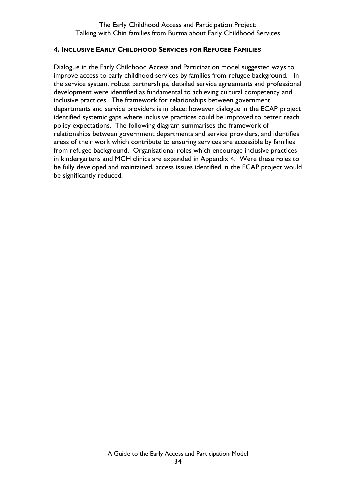#### <span id="page-33-0"></span>**4. INCLUSIVE EARLY CHILDHOOD SERVICES FOR REFUGEE FAMILIES**

Dialogue in the Early Childhood Access and Participation model suggested ways to improve access to early childhood services by families from refugee background. In the service system, robust partnerships, detailed service agreements and professional development were identified as fundamental to achieving cultural competency and inclusive practices. The framework for relationships between government departments and service providers is in place; however dialogue in the ECAP project identified systemic gaps where inclusive practices could be improved to better reach policy expectations. The following diagram summarises the framework of relationships between government departments and service providers, and identifies areas of their work which contribute to ensuring services are accessible by families from refugee background. Organisational roles which encourage inclusive practices in kindergartens and MCH clinics are expanded in Appendix 4. Were these roles to be fully developed and maintained, access issues identified in the ECAP project would be significantly reduced.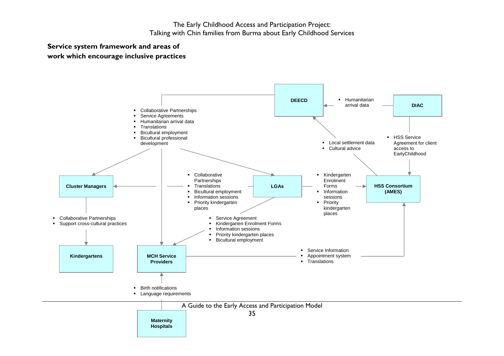#### **Service system framework and areas of work which encourage inclusive practices**

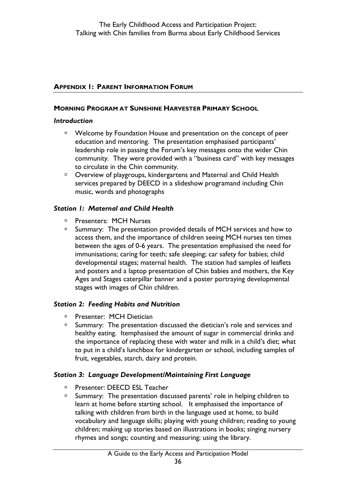## <span id="page-35-0"></span>**APPENDIX 1: PARENT INFORMATION FORUM**

#### **MORNING PROGRAM AT SUNSHINE HARVESTER PRIMARY SCHOOL**

#### *Introduction*

- <sup>n</sup> Welcome by Foundation House and presentation on the concept of peer education and mentoring. The presentation emphasised participants' leadership role in passing the Forum's key messages onto the wider Chin community. They were provided with a "business card" with key messages to circulate in the Chin community.
- Overview of playgroups, kindergartens and Maternal and Child Health services prepared by DEECD in a slideshow programand including Chin music, words and photographs

#### *Station 1: Maternal and Child Health*

- **Presenters: MCH Nurses**
- □ Summary: The presentation provided details of MCH services and how to access them, and the importance of children seeing MCH nurses ten times between the ages of 0-6 years. The presentation emphasised the need for immunisations; caring for teeth; safe sleeping; car safety for babies; child developmental stages; maternal health. The station had samples of leaflets and posters and a laptop presentation of Chin babies and mothers, the Key Ages and Stages caterpillar banner and a poster portraying developmental stages with images of Chin children.

#### *Station 2: Feeding Habits and Nutrition*

- □ Presenter: MCH Dietician
- □ Summary: The presentation discussed the dietician's role and services and healthy eating. Itemphasised the amount of sugar in commercial drinks and the importance of replacing these with water and milk in a child's diet; what to put in a child's lunchbox for kindergarten or school, including samples of fruit, vegetables, starch, dairy and protein.

#### *Station 3: Language Development/Maintaining First Language*

- □ Presenter: DEECD ESL Teacher
- <sup>n</sup> Summary: The presentation discussed parents' role in helping children to learn at home before starting school. It emphasised the importance of talking with children from birth in the language used at home, to build vocabulary and language skills; playing with young children; reading to young children; making up stories based on illustrations in books; singing nursery rhymes and songs; counting and measuring; using the library.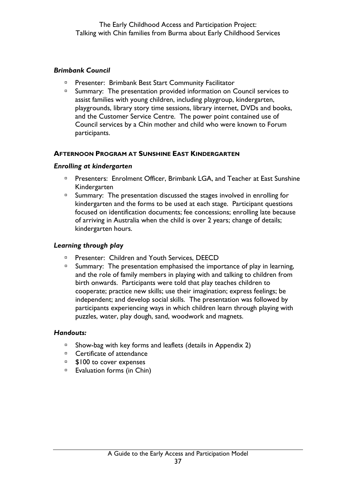## *Brimbank Council*

- Presenter: Brimbank Best Start Community Facilitator
- <sup>n</sup> Summary: The presentation provided information on Council services to assist families with young children, including playgroup, kindergarten, playgrounds, library story time sessions, library internet, DVDs and books, and the Customer Service Centre. The power point contained use of Council services by a Chin mother and child who were known to Forum participants.

## **AFTERNOON PROGRAM AT SUNSHINE EAST KINDERGARTEN**

#### *Enrolling at kindergarten*

- **Presenters: Enrolment Officer, Brimbank LGA, and Teacher at East Sunshine** Kindergarten
- <sup>n</sup> Summary: The presentation discussed the stages involved in enrolling for kindergarten and the forms to be used at each stage. Participant questions focused on identification documents; fee concessions; enrolling late because of arriving in Australia when the child is over 2 years; change of details; kindergarten hours.

#### *Learning through play*

- □ Presenter: Children and Youth Services, DEECD
- $\Box$  Summary: The presentation emphasised the importance of play in learning, and the role of family members in playing with and talking to children from birth onwards. Participants were told that play teaches children to cooperate; practice new skills; use their imagination; express feelings; be independent; and develop social skills. The presentation was followed by participants experiencing ways in which children learn through playing with puzzles, water, play dough, sand, woodwork and magnets.

#### *Handouts:*

- $\overline{a}$  Show-bag with key forms and leaflets (details in Appendix 2)
- <sup>□</sup> Certificate of attendance
- □ \$100 to cover expenses
- $E$  Evaluation forms (in Chin)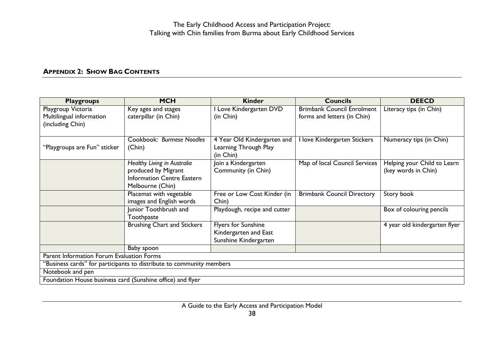# **APPENDIX 2: SHOW BAG CONTENTS**

<span id="page-37-0"></span>

| <b>Playgroups</b>                                          | <b>MCH</b>                                                           | <b>Kinder</b>                | <b>Councils</b>                   | <b>DEECD</b>                  |
|------------------------------------------------------------|----------------------------------------------------------------------|------------------------------|-----------------------------------|-------------------------------|
| Playgroup Victoria                                         | Key ages and stages                                                  | Love Kindergarten DVD        | <b>Brimbank Council Enrolment</b> | Literacy tips (in Chin)       |
| Multilingual information                                   | caterpillar (in Chin)                                                | (in Chin)                    | forms and letters (in Chin)       |                               |
| (including Chin)                                           |                                                                      |                              |                                   |                               |
|                                                            |                                                                      |                              |                                   |                               |
|                                                            | Cookbook: Burmese Noodles                                            | 4 Year Old Kindergarten and  | love Kindergarten Stickers        | Numeracy tips (in Chin)       |
| "Playgroups are Fun" sticker                               | (Chin)                                                               | Learning Through Play        |                                   |                               |
|                                                            |                                                                      | (in Chin)                    |                                   |                               |
|                                                            | Healthy Living in Australia                                          | Join a Kindergarten          | Map of local Council Services     | Helping your Child to Learn   |
|                                                            | produced by Migrant                                                  | Community (in Chin)          |                                   | (key words in Chin)           |
|                                                            | <b>Information Centre Eastern</b>                                    |                              |                                   |                               |
|                                                            | Melbourne (Chin)                                                     |                              |                                   |                               |
|                                                            | Placemat with vegetable                                              | Free or Low Cost Kinder (in  | <b>Brimbank Council Directory</b> | Story book                    |
|                                                            | images and English words                                             | Chin)                        |                                   |                               |
|                                                            | Junior Toothbrush and<br>Toothpaste                                  | Playdough, recipe and cutter |                                   | Box of colouring pencils      |
|                                                            | <b>Brushing Chart and Stickers</b>                                   | <b>Flyers for Sunshine</b>   |                                   | 4 year old kindergarten flyer |
|                                                            |                                                                      | Kindergarten and East        |                                   |                               |
|                                                            |                                                                      | Sunshine Kindergarten        |                                   |                               |
|                                                            | Baby spoon                                                           |                              |                                   |                               |
| Parent Information Forum Evaluation Forms                  |                                                                      |                              |                                   |                               |
|                                                            | "Business cards" for participants to distribute to community members |                              |                                   |                               |
| Notebook and pen                                           |                                                                      |                              |                                   |                               |
| Foundation House business card (Sunshine office) and flyer |                                                                      |                              |                                   |                               |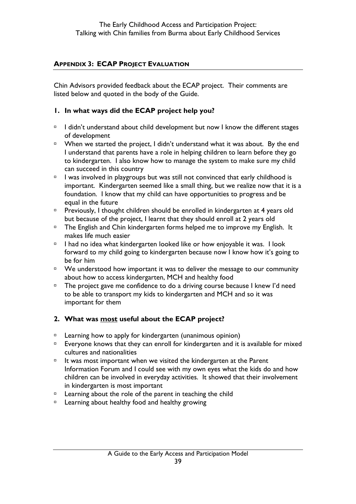## <span id="page-38-0"></span>**APPENDIX 3: ECAP PROJECT EVALUATION**

Chin Advisors provided feedback about the ECAP project. Their comments are listed below and quoted in the body of the Guide.

## **1. In what ways did the ECAP project help you?**

- $\Box$  I didn't understand about child development but now I know the different stages of development
- $\Box$  When we started the project, I didn't understand what it was about. By the end I understand that parents have a role in helping children to learn before they go to kindergarten. I also know how to manage the system to make sure my child can succeed in this country
- $\Box$  I was involved in playgroups but was still not convinced that early childhood is important. Kindergarten seemed like a small thing, but we realize now that it is a foundation. I know that my child can have opportunities to progress and be equal in the future
- **Previously, I thought children should be enrolled in kindergarten at 4 years old** but because of the project, I learnt that they should enroll at 2 years old
- □ The English and Chin kindergarten forms helped me to improve my English. It makes life much easier
- $\Box$  I had no idea what kindergarten looked like or how enjoyable it was. I look forward to my child going to kindergarten because now I know how it's going to be for him
- $\Box$  We understood how important it was to deliver the message to our community about how to access kindergarten, MCH and healthy food
- $\overline{P}$  The project gave me confidence to do a driving course because I knew I'd need to be able to transport my kids to kindergarten and MCH and so it was important for them

# **2. What was most useful about the ECAP project?**

- <sup>n</sup> Learning how to apply for kindergarten (unanimous opinion)
- **Everyone knows that they can enroll for kindergarten and it is available for mixed** cultures and nationalities
- $I$  It was most important when we visited the kindergarten at the Parent Information Forum and I could see with my own eyes what the kids do and how children can be involved in everyday activities. It showed that their involvement in kindergarten is most important
- $\Box$  Learning about the role of the parent in teaching the child
- <sup>n</sup> Learning about healthy food and healthy growing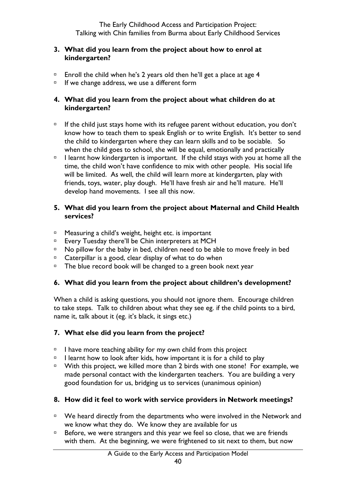### **3. What did you learn from the project about how to enrol at kindergarten?**

- $\Box$  Enroll the child when he's 2 years old then he'll get a place at age 4
- $I<sup>5</sup>$  If we change address, we use a different form

# **4. What did you learn from the project about what children do at kindergarten?**

- $I<sup>5</sup>$  If the child just stays home with its refugee parent without education, you don't know how to teach them to speak English or to write English. It's better to send the child to kindergarten where they can learn skills and to be sociable. So when the child goes to school, she will be equal, emotionally and practically
- $\Box$  I learnt how kindergarten is important. If the child stays with you at home all the time, the child won't have confidence to mix with other people. His social life will be limited. As well, the child will learn more at kindergarten, play with friends, toys, water, play dough. He'll have fresh air and he'll mature. He'll develop hand movements. I see all this now.

# **5. What did you learn from the project about Maternal and Child Health services?**

- <sup>n</sup> Measuring a child's weight, height etc. is important
- □ Every Tuesday there'll be Chin interpreters at MCH
- $\overline{P}$  No pillow for the baby in bed, children need to be able to move freely in bed
- $\Box$  Caterpillar is a good, clear display of what to do when
- $\overline{P}$  The blue record book will be changed to a green book next year

# **6. What did you learn from the project about children's development?**

When a child is asking questions, you should not ignore them. Encourage children to take steps. Talk to children about what they see eg. if the child points to a bird, name it, talk about it (eg. it's black, it sings etc.)

# **7. What else did you learn from the project?**

- $\Box$  I have more teaching ability for my own child from this project
- $\Box$  I learnt how to look after kids, how important it is for a child to play
- □ With this project, we killed more than 2 birds with one stone! For example, we made personal contact with the kindergarten teachers. You are building a very good foundation for us, bridging us to services (unanimous opinion)

# **8. How did it feel to work with service providers in Network meetings?**

- □ We heard directly from the departments who were involved in the Network and we know what they do. We know they are available for us
- $B$  Before, we were strangers and this year we feel so close, that we are friends with them. At the beginning, we were frightened to sit next to them, but now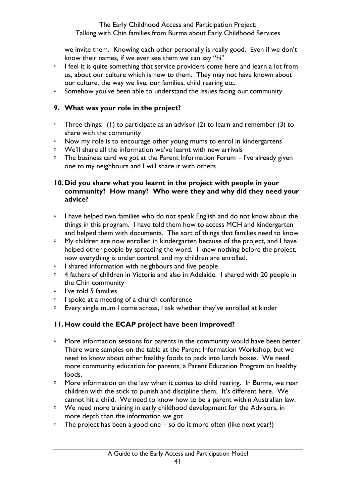we invite them. Knowing each other personally is really good. Even if we don't know their names, if we ever see them we can say "hi"

- $I$  I feel it is quite something that service providers come here and learn a lot from us, about our culture which is new to them. They may not have known about our culture, the way we live, our families, child rearing etc.
- $\Box$  Somehow you've been able to understand the issues facing our community

# **9. What was your role in the project?**

- $\Box$  Three things: (1) to participate as an advisor (2) to learn and remember (3) to share with the community
- $\Box$  Now my role is to encourage other young mums to enrol in kindergartens
- $\Box$  We'll share all the information we've learnt with new arrivals
- $\Box$  The business card we got at the Parent Information Forum I've already given one to my neighbours and I will share it with others

# **10.Did you share what you learnt in the project with people in your community? How many? Who were they and why did they need your advice?**

- $\Box$  I have helped two families who do not speak English and do not know about the things in this program. I have told them how to access MCH and kindergarten and helped them with documents. The sort of things that families need to know
- $\Box$  My children are now enrolled in kindergarten because of the project, and I have helped other people by spreading the word. I knew nothing before the project, now everything is under control, and my children are enrolled.
- $\Box$  I shared information with neighbours and five people
- <sup>n</sup> 4 fathers of children in Victoria and also in Adelaide. I shared with 20 people in the Chin community
- $\Box$  I've told 5 families
- $\Box$  I spoke at a meeting of a church conference
- $E =$  Every single mum I come across, I ask whether they've enrolled at kinder

# **11.How could the ECAP project have been improved?**

- $\Box$  More information sessions for parents in the community would have been better. There were samples on the table at the Parent Information Workshop, but we need to know about other healthy foods to pack into lunch boxes. We need more community education for parents, a Parent Education Program on healthy foods.
- □ More information on the law when it comes to child rearing. In Burma, we rear children with the stick to punish and discipline them. It's different here. We cannot hit a child. We need to know how to be a parent within Australian law.
- □ We need more training in early childhood development for the Advisors, in more depth than the information we got
- $\Box$  The project has been a good one so do it more often (like next year!)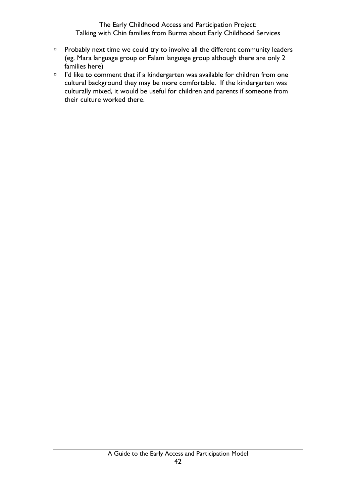- **Probably next time we could try to involve all the different community leaders** (eg. Mara language group or Falam language group although there are only 2 families here)
- <sup>1</sup> I'd like to comment that if a kindergarten was available for children from one cultural background they may be more comfortable. If the kindergarten was culturally mixed, it would be useful for children and parents if someone from their culture worked there.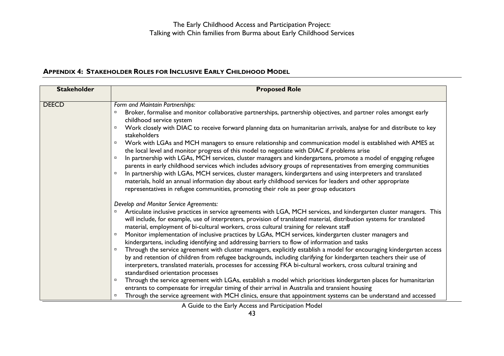## **APPENDIX 4: STAKEHOLDER ROLES FOR INCLUSIVE EARLY CHILDHOOD MODEL**

<span id="page-42-0"></span>

| <b>Stakeholder</b> | <b>Proposed Role</b>                                                                                                                                                                                                                                                                                                                                                                                                                                                                                                                                                                                                                                                                                                                                                                                                                                                                                                                                                                                                                                                                                                                                                                                                                                                                                                                              |
|--------------------|---------------------------------------------------------------------------------------------------------------------------------------------------------------------------------------------------------------------------------------------------------------------------------------------------------------------------------------------------------------------------------------------------------------------------------------------------------------------------------------------------------------------------------------------------------------------------------------------------------------------------------------------------------------------------------------------------------------------------------------------------------------------------------------------------------------------------------------------------------------------------------------------------------------------------------------------------------------------------------------------------------------------------------------------------------------------------------------------------------------------------------------------------------------------------------------------------------------------------------------------------------------------------------------------------------------------------------------------------|
| <b>DEECD</b>       | Form and Maintain Partnerships:<br>Broker, formalise and monitor collaborative partnerships, partnership objectives, and partner roles amongst early<br>childhood service system<br>Work closely with DIAC to receive forward planning data on humanitarian arrivals, analyse for and distribute to key<br>stakeholders<br>Work with LGAs and MCH managers to ensure relationship and communication model is established with AMES at<br>$\Box$<br>the local level and monitor progress of this model to negotiate with DIAC if problems arise<br>In partnership with LGAs, MCH services, cluster managers and kindergartens, promote a model of engaging refugee<br>parents in early childhood services which includes advisory groups of representatives from emerging communities<br>In partnership with LGAs, MCH services, cluster managers, kindergartens and using interpreters and translated<br>materials, hold an annual information day about early childhood services for leaders and other appropriate<br>representatives in refugee communities, promoting their role as peer group educators                                                                                                                                                                                                                                       |
|                    | Develop and Monitor Service Agreements:<br>Articulate inclusive practices in service agreements with LGA, MCH services, and kindergarten cluster managers. This<br>will include, for example, use of interpreters, provision of translated material, distribution systems for translated<br>material, employment of bi-cultural workers, cross cultural training for relevant staff<br>Monitor implementation of inclusive practices by LGAs, MCH services, kindergarten cluster managers and<br>kindergartens, including identifying and addressing barriers to flow of information and tasks<br>Through the service agreement with cluster managers, explicitly establish a model for encouraging kindergarten access<br>by and retention of children from refugee backgrounds, including clarifying for kindergarten teachers their use of<br>interpreters, translated materials, processes for accessing FKA bi-cultural workers, cross cultural training and<br>standardised orientation processes<br>Through the service agreement with LGAs, establish a model which prioritises kindergarten places for humanitarian<br>entrants to compensate for irregular timing of their arrival in Australia and transient housing<br>Through the service agreement with MCH clinics, ensure that appointment systems can be understand and accessed |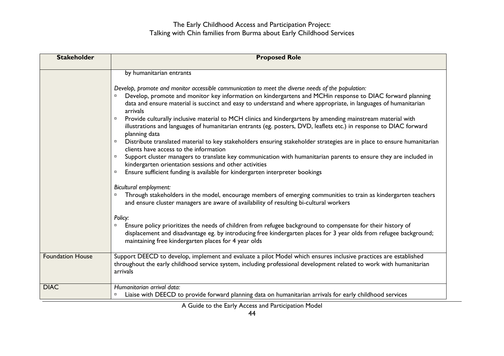| <b>Stakeholder</b>      | <b>Proposed Role</b>                                                                                                                                                                                                                                                                                                                                                                                                                                                                                                                                                                                                                                                                                                                                                                                                                                                                                                                                                                                                                                                                                                                                                                                                                                                                                                                                                                                                                                                                                                                                                                                                                                    |
|-------------------------|---------------------------------------------------------------------------------------------------------------------------------------------------------------------------------------------------------------------------------------------------------------------------------------------------------------------------------------------------------------------------------------------------------------------------------------------------------------------------------------------------------------------------------------------------------------------------------------------------------------------------------------------------------------------------------------------------------------------------------------------------------------------------------------------------------------------------------------------------------------------------------------------------------------------------------------------------------------------------------------------------------------------------------------------------------------------------------------------------------------------------------------------------------------------------------------------------------------------------------------------------------------------------------------------------------------------------------------------------------------------------------------------------------------------------------------------------------------------------------------------------------------------------------------------------------------------------------------------------------------------------------------------------------|
|                         | by humanitarian entrants<br>Develop, promote and monitor accessible communication to meet the diverse needs of the population:<br>Develop, promote and monitor key information on kindergartens and MCHin response to DIAC forward planning<br>data and ensure material is succinct and easy to understand and where appropriate, in languages of humanitarian<br>arrivals<br>Provide culturally inclusive material to MCH clinics and kindergartens by amending mainstream material with<br>$\Box$<br>illustrations and languages of humanitarian entrants (eg. posters, DVD, leaflets etc.) in response to DIAC forward<br>planning data<br>Distribute translated material to key stakeholders ensuring stakeholder strategies are in place to ensure humanitarian<br>clients have access to the information<br>Support cluster managers to translate key communication with humanitarian parents to ensure they are included in<br>$\Box$<br>kindergarten orientation sessions and other activities<br>Ensure sufficient funding is available for kindergarten interpreter bookings<br>$\Box$<br>Bicultural employment:<br>Through stakeholders in the model, encourage members of emerging communities to train as kindergarten teachers<br>and ensure cluster managers are aware of availability of resulting bi-cultural workers<br>Policy:<br>Ensure policy prioritizes the needs of children from refugee background to compensate for their history of<br>$\Box$<br>displacement and disadvantage eg. by introducing free kindergarten places for 3 year olds from refugee background;<br>maintaining free kindergarten places for 4 year olds |
| <b>Foundation House</b> | Support DEECD to develop, implement and evaluate a pilot Model which ensures inclusive practices are established<br>throughout the early childhood service system, including professional development related to work with humanitarian<br>arrivals                                                                                                                                                                                                                                                                                                                                                                                                                                                                                                                                                                                                                                                                                                                                                                                                                                                                                                                                                                                                                                                                                                                                                                                                                                                                                                                                                                                                     |
| <b>DIAC</b>             | Humanitarian arrival data:<br>Liaise with DEECD to provide forward planning data on humanitarian arrivals for early childhood services                                                                                                                                                                                                                                                                                                                                                                                                                                                                                                                                                                                                                                                                                                                                                                                                                                                                                                                                                                                                                                                                                                                                                                                                                                                                                                                                                                                                                                                                                                                  |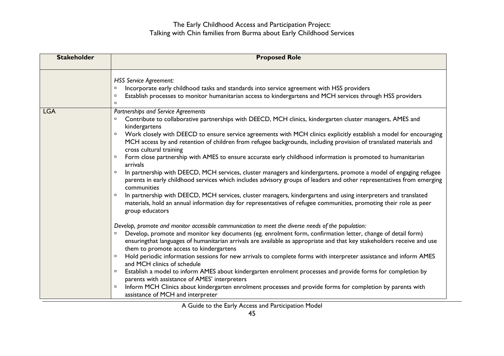| <b>Stakeholder</b> | <b>Proposed Role</b>                                                                                                                                                                                                                                                                                                                                                                                                                                                                                                                                                                                                                                                                                                                                                                                                                                                                                                                                                                                                                                                                                                                                                                                                                                                                                                                                                                                                                                                                                                                                                                                                                                                                                                                                                                                                                                                                                                                                                                                                   |
|--------------------|------------------------------------------------------------------------------------------------------------------------------------------------------------------------------------------------------------------------------------------------------------------------------------------------------------------------------------------------------------------------------------------------------------------------------------------------------------------------------------------------------------------------------------------------------------------------------------------------------------------------------------------------------------------------------------------------------------------------------------------------------------------------------------------------------------------------------------------------------------------------------------------------------------------------------------------------------------------------------------------------------------------------------------------------------------------------------------------------------------------------------------------------------------------------------------------------------------------------------------------------------------------------------------------------------------------------------------------------------------------------------------------------------------------------------------------------------------------------------------------------------------------------------------------------------------------------------------------------------------------------------------------------------------------------------------------------------------------------------------------------------------------------------------------------------------------------------------------------------------------------------------------------------------------------------------------------------------------------------------------------------------------------|
|                    | <b>HSS Service Agreement:</b><br>Incorporate early childhood tasks and standards into service agreement with HSS providers<br>Establish processes to monitor humanitarian access to kindergartens and MCH services through HSS providers<br>$\Box$                                                                                                                                                                                                                                                                                                                                                                                                                                                                                                                                                                                                                                                                                                                                                                                                                                                                                                                                                                                                                                                                                                                                                                                                                                                                                                                                                                                                                                                                                                                                                                                                                                                                                                                                                                     |
| <b>LGA</b>         | Partnerships and Service Agreements<br>Contribute to collaborative partnerships with DEECD, MCH clinics, kindergarten cluster managers, AMES and<br>kindergartens<br>Work closely with DEECD to ensure service agreements with MCH clinics explicitly establish a model for encouraging<br>$\Box$<br>MCH access by and retention of children from refugee backgrounds, including provision of translated materials and<br>cross cultural training<br>Form close partnership with AMES to ensure accurate early childhood information is promoted to humanitarian<br>$\Box$<br>arrivals<br>In partnership with DEECD, MCH services, cluster managers and kindergartens, promote a model of engaging refugee<br>parents in early childhood services which includes advisory groups of leaders and other representatives from emerging<br>communities<br>In partnership with DEECD, MCH services, cluster managers, kindergartens and using interpreters and translated<br>$\Box$<br>materials, hold an annual information day for representatives of refugee communities, promoting their role as peer<br>group educators<br>Develop, promote and monitor accessible communication to meet the diverse needs of the population:<br>Develop, promote and monitor key documents (eg. enrolment form, confirmation letter, change of detail form)<br>$\Box$<br>ensuringthat languages of humanitarian arrivals are available as appropriate and that key stakeholders receive and use<br>them to promote access to kindergartens<br>Hold periodic information sessions for new arrivals to complete forms with interpreter assistance and inform AMES<br>and MCH clinics of schedule<br>Establish a model to inform AMES about kindergarten enrolment processes and provide forms for completion by<br>$\Box$<br>parents with assistance of AMES' interpreters<br>Inform MCH Clinics about kindergarten enrolment processes and provide forms for completion by parents with<br>$\Box$<br>assistance of MCH and interpreter |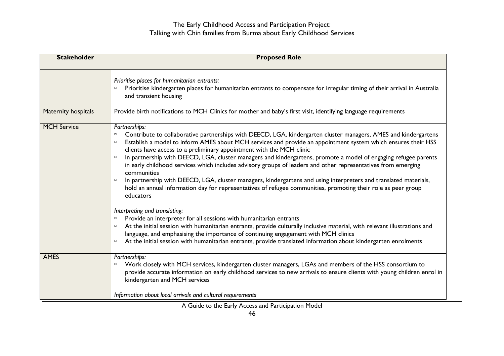| <b>Stakeholder</b>  | <b>Proposed Role</b>                                                                                                                                                                                                                                                                                                                                                                                                                                                                                                                                                                                                                                                                                                                                                                                                                                                                                                                                                                                                                                                                                                                                                                                                                                                                                                          |
|---------------------|-------------------------------------------------------------------------------------------------------------------------------------------------------------------------------------------------------------------------------------------------------------------------------------------------------------------------------------------------------------------------------------------------------------------------------------------------------------------------------------------------------------------------------------------------------------------------------------------------------------------------------------------------------------------------------------------------------------------------------------------------------------------------------------------------------------------------------------------------------------------------------------------------------------------------------------------------------------------------------------------------------------------------------------------------------------------------------------------------------------------------------------------------------------------------------------------------------------------------------------------------------------------------------------------------------------------------------|
|                     | Prioritise places for humanitarian entrants:<br>Prioritise kindergarten places for humanitarian entrants to compensate for irregular timing of their arrival in Australia<br>$\Box$<br>and transient housing                                                                                                                                                                                                                                                                                                                                                                                                                                                                                                                                                                                                                                                                                                                                                                                                                                                                                                                                                                                                                                                                                                                  |
| Maternity hospitals | Provide birth notifications to MCH Clinics for mother and baby's first visit, identifying language requirements                                                                                                                                                                                                                                                                                                                                                                                                                                                                                                                                                                                                                                                                                                                                                                                                                                                                                                                                                                                                                                                                                                                                                                                                               |
| <b>MCH Service</b>  | Partnerships:<br>Contribute to collaborative partnerships with DEECD, LGA, kindergarten cluster managers, AMES and kindergartens<br>Establish a model to inform AMES about MCH services and provide an appointment system which ensures their HSS<br>$\Box$<br>clients have access to a preliminary appointment with the MCH clinic<br>In partnership with DEECD, LGA, cluster managers and kindergartens, promote a model of engaging refugee parents<br>$\Box$<br>in early childhood services which includes advisory groups of leaders and other representatives from emerging<br>communities<br>In partnership with DEECD, LGA, cluster managers, kindergartens and using interpreters and translated materials,<br>$\Box$<br>hold an annual information day for representatives of refugee communities, promoting their role as peer group<br>educators<br>Interpreting and translating:<br>Provide an interpreter for all sessions with humanitarian entrants<br>$\Box$<br>At the initial session with humanitarian entrants, provide culturally inclusive material, with relevant illustrations and<br>language, and emphasising the importance of continuing engagement with MCH clinics<br>At the initial session with humanitarian entrants, provide translated information about kindergarten enrolments<br>$\Box$ |
| <b>AMES</b>         | Partnerships:<br>Work closely with MCH services, kindergarten cluster managers, LGAs and members of the HSS consortium to<br>$\Box$<br>provide accurate information on early childhood services to new arrivals to ensure clients with young children enrol in<br>kindergarten and MCH services<br>Information about local arrivals and cultural requirements                                                                                                                                                                                                                                                                                                                                                                                                                                                                                                                                                                                                                                                                                                                                                                                                                                                                                                                                                                 |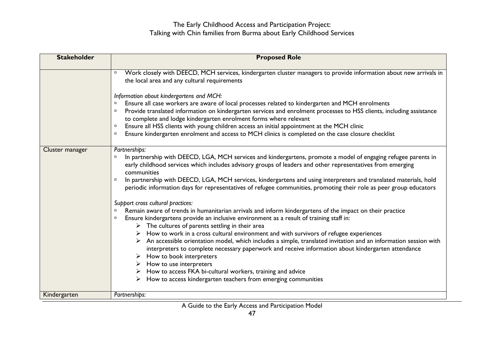| <b>Stakeholder</b> | <b>Proposed Role</b>                                                                                                                                                                                                                                                                                                                                                                                                                                                                                                                                                                                                                                                                                                                                                                                                                                                                                                                                                                                                                                                                                                                                                                                                                                                                                                                                                                               |
|--------------------|----------------------------------------------------------------------------------------------------------------------------------------------------------------------------------------------------------------------------------------------------------------------------------------------------------------------------------------------------------------------------------------------------------------------------------------------------------------------------------------------------------------------------------------------------------------------------------------------------------------------------------------------------------------------------------------------------------------------------------------------------------------------------------------------------------------------------------------------------------------------------------------------------------------------------------------------------------------------------------------------------------------------------------------------------------------------------------------------------------------------------------------------------------------------------------------------------------------------------------------------------------------------------------------------------------------------------------------------------------------------------------------------------|
|                    |                                                                                                                                                                                                                                                                                                                                                                                                                                                                                                                                                                                                                                                                                                                                                                                                                                                                                                                                                                                                                                                                                                                                                                                                                                                                                                                                                                                                    |
|                    | Work closely with DEECD, MCH services, kindergarten cluster managers to provide information about new arrivals in<br>$\Box$<br>the local area and any cultural requirements<br>Information about kindergartens and MCH:<br>Ensure all case workers are aware of local processes related to kindergarten and MCH enrolments<br>Provide translated information on kindergarten services and enrolment processes to HSS clients, including assistance<br>to complete and lodge kindergarten enrolment forms where relevant<br>Ensure all HSS clients with young children access an initial appointment at the MCH clinic<br>Ensure kindergarten enrolment and access to MCH clinics is completed on the case closure checklist<br>п                                                                                                                                                                                                                                                                                                                                                                                                                                                                                                                                                                                                                                                                   |
| Cluster manager    | Partnerships:<br>In partnership with DEECD, LGA, MCH services and kindergartens, promote a model of engaging refugee parents in<br>early childhood services which includes advisory groups of leaders and other representatives from emerging<br>communities<br>In partnership with DEECD, LGA, MCH services, kindergartens and using interpreters and translated materials, hold<br>periodic information days for representatives of refugee communities, promoting their role as peer group educators<br>Support cross cultural practices:<br>Remain aware of trends in humanitarian arrivals and inform kindergartens of the impact on their practice<br>Ensure kindergartens provide an inclusive environment as a result of training staff in:<br>$\triangleright$ The cultures of parents settling in their area<br>$\triangleright$ How to work in a cross cultural environment and with survivors of refugee experiences<br>An accessible orientation model, which includes a simple, translated invitation and an information session with<br>interpreters to complete necessary paperwork and receive information about kindergarten attendance<br>$\triangleright$ How to book interpreters<br>$\triangleright$ How to use interpreters<br>$\triangleright$ How to access FKA bi-cultural workers, training and advice<br>How to access kindergarten teachers from emerging communities |
| Kindergarten       | Partnerships:                                                                                                                                                                                                                                                                                                                                                                                                                                                                                                                                                                                                                                                                                                                                                                                                                                                                                                                                                                                                                                                                                                                                                                                                                                                                                                                                                                                      |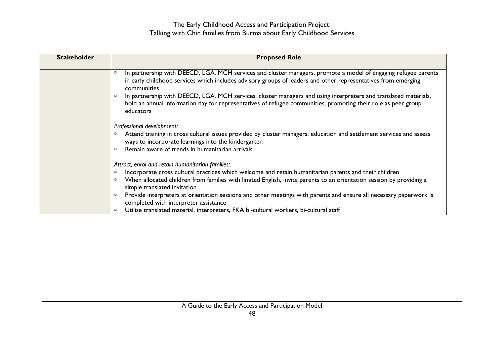| <b>Stakeholder</b> | <b>Proposed Role</b>                                                                                                                                                                                                                                                                                                                                                                                                                                                                                                                                                                                   |
|--------------------|--------------------------------------------------------------------------------------------------------------------------------------------------------------------------------------------------------------------------------------------------------------------------------------------------------------------------------------------------------------------------------------------------------------------------------------------------------------------------------------------------------------------------------------------------------------------------------------------------------|
|                    | In partnership with DEECD, LGA, MCH services and cluster managers, promote a model of engaging refugee parents<br>$\Box$<br>in early childhood services which includes advisory groups of leaders and other representatives from emerging<br>communities<br>In partnership with DEECD, LGA, MCH services, cluster managers and using interpreters and translated materials,<br>hold an annual information day for representatives of refugee communities, promoting their role as peer group<br>educators                                                                                              |
|                    | Professional development:<br>Attend training in cross cultural issues provided by cluster managers, education and settlement services and assess<br>ways to incorporate learnings into the kindergarten<br>Remain aware of trends in humanitarian arrivals<br>$\Box$                                                                                                                                                                                                                                                                                                                                   |
|                    | Attract, enrol and retain humanitarian families:<br>Incorporate cross cultural practices which welcome and retain humanitarian parents and their children<br>$\Box$<br>When allocated children from families with limited English, invite parents to an orientation session by providing a<br>$\Box$<br>simple translated invitation<br>Provide interpreters at orientation sessions and other meetings with parents and ensure all necessary paperwork is<br>$\Box$<br>completed with interpreter assistance<br>Utilise translated material, interpreters, FKA bi-cultural workers, bi-cultural staff |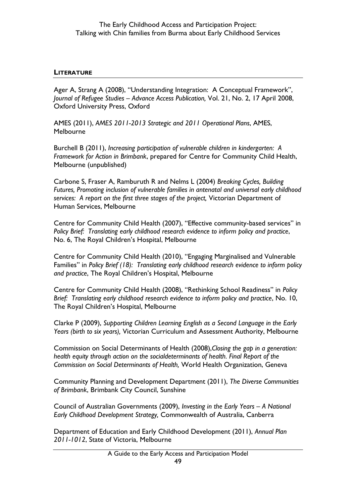#### <span id="page-48-0"></span>**LITERATURE**

Ager A, Strang A (2008), "Understanding Integration: A Conceptual Framework", *Journal of Refugee Studies – Advance Access Publication,* Vol. 21, No. 2, 17 April 2008, Oxford University Press, Oxford

AMES (2011), *AMES 2011-2013 Strategic and 2011 Operational Plans*, AMES, Melbourne

Burchell B (2011), *Increasing participation of vulnerable children in kindergarten: A Framework for Action in Brimbank*, prepared for Centre for Community Child Health, Melbourne (unpublished)

Carbone S, Fraser A, Ramburuth R and Nelms L (2004) *Breaking Cycles, Building Futures, Promoting inclusion of vulnerable families in antenatal and universal early childhood services: A report on the first three stages of the project,* Victorian Department of Human Services, Melbourne

Centre for Community Child Health (2007), "Effective community-based services" in *Policy Brief: Translating early childhood research evidence to inform policy and practice*, No. 6, The Royal Children's Hospital, Melbourne

Centre for Community Child Health (2010), "Engaging Marginalised and Vulnerable Families" in *Policy Brief (18): Translating early childhood research evidence to inform policy and practice*, The Royal Children's Hospital, Melbourne

Centre for Community Child Health (2008), "Rethinking School Readiness" in *Policy Brief: Translating early childhood research evidence to inform policy and practice*, No. 10, The Royal Children's Hospital, Melbourne

Clarke P (2009), *Supporting Children Learning English as a Second Language in the Early Years (birth to six years),* Victorian Curriculum and Assessment Authority, Melbourne

Commission on Social Determinants of Health (2008),*Closing the gap in a generation: health equity through action on the socialdeterminants of health. Final Report of the Commission on Social Determinants of Health,* World Health Organization, Geneva

Community Planning and Development Department (2011), *The Diverse Communities of Brimbank*, Brimbank City Council, Sunshine

Council of Australian Governments (2009), *Investing in the Early Years – A National Early Childhood Development Strategy,* Commonwealth of Australia, Canberra

Department of Education and Early Childhood Development (2011), *Annual Plan 2011-1012*, State of Victoria, Melbourne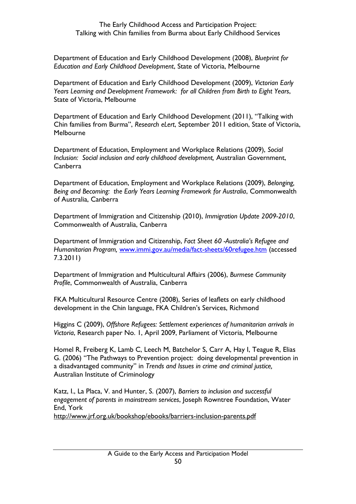Department of Education and Early Childhood Development (2008), *Blueprint for Education and Early Childhood Development*, State of Victoria, Melbourne

Department of Education and Early Childhood Development (2009), *Victorian Early Years Learning and Development Framework: for all Children from Birth to Eight Years*, State of Victoria, Melbourne

Department of Education and Early Childhood Development (2011), "Talking with Chin families from Burma", *Research eLert*, September 2011 edition, State of Victoria, Melbourne

Department of Education, Employment and Workplace Relations (2009), *Social Inclusion: Social inclusion and early childhood development,* Australian Government, Canberra

Department of Education, Employment and Workplace Relations (2009), *Belonging, Being and Becoming: the Early Years Learning Framework for Australia*, Commonwealth of Australia, Canberra

Department of Immigration and Citizenship (2010), *Immigration Update 2009-2010*, Commonwealth of Australia, Canberra

Department of Immigration and Citizenship, *Fact Sheet 60 -Australia's Refugee and Humanitarian Program,* [www.immi.gov.au/media/fact-sheets/60refugee.htm](http://www.immi.gov.au/media/fact-sheets/60refugee.htm) (accessed 7.3.2011)

Department of Immigration and Multicultural Affairs (2006), *Burmese Community Profile*, Commonwealth of Australia, Canberra

FKA Multicultural Resource Centre (2008), Series of leaflets on early childhood development in the Chin language, FKA Children's Services, Richmond

Higgins C (2009), *Offshore Refugees: Settlement experiences of humanitarian arrivals in Victoria*, Research paper No. 1, April 2009, Parliament of Victoria, Melbourne

Homel R, Freiberg K, Lamb C, Leech M, Batchelor S, Carr A, Hay I, Teague R, Elias G. (2006) "The Pathways to Prevention project: doing developmental prevention in a disadvantaged community" in *Trends and Issues in crime and criminal justice,*  Australian Institute of Criminology

Katz, I., La Placa, V. and Hunter, S. (2007), *Barriers to inclusion and successful engagement of parents in mainstream services*, Joseph Rowntree Foundation, Water End, York

<http://www.jrf.org.uk/bookshop/ebooks/barriers-inclusion-parents.pdf>